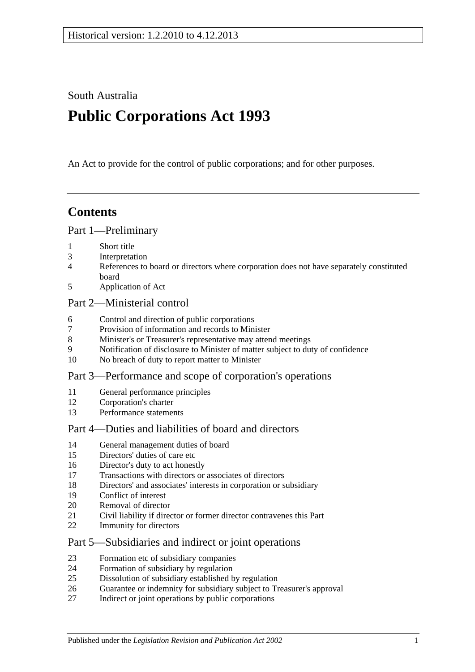South Australia

# **Public Corporations Act 1993**

An Act to provide for the control of public corporations; and for other purposes.

# **Contents**

#### [Part 1—Preliminary](#page-2-0)

- [Short title](#page-2-1)
- [Interpretation](#page-2-2)
- [References to board or directors where corporation does not have separately constituted](#page-4-0)  [board](#page-4-0)
- [Application of Act](#page-4-1)

#### [Part 2—Ministerial control](#page-5-0)

- [Control and direction of public corporations](#page-5-1)
- [Provision of information and records to Minister](#page-6-0)
- [Minister's or Treasurer's representative may attend meetings](#page-6-1)
- [Notification of disclosure to Minister of matter subject to duty of confidence](#page-6-2)
- [No breach of duty to report matter to Minister](#page-6-3)

#### [Part 3—Performance and scope of corporation's operations](#page-7-0)

- [General performance principles](#page-7-1)
- [Corporation's charter](#page-7-2)
- [Performance statements](#page-8-0)

### [Part 4—Duties and liabilities of board and directors](#page-8-1)

- [General management duties of board](#page-8-2)
- [Directors' duties of care etc](#page-9-0)
- [Director's duty to act honestly](#page-10-0)
- [Transactions with directors or associates of directors](#page-10-1)
- [Directors' and associates' interests in corporation or subsidiary](#page-11-0)
- [Conflict of interest](#page-12-0)
- [Removal of director](#page-13-0)
- [Civil liability if director or former director contravenes this Part](#page-13-1)
- [Immunity for directors](#page-13-2)

#### [Part 5—Subsidiaries and indirect or joint operations](#page-13-3)

- [Formation etc of subsidiary companies](#page-13-4)
- [Formation of subsidiary by regulation](#page-14-0)
- [Dissolution of subsidiary established by regulation](#page-14-1)
- [Guarantee or indemnity for subsidiary subject to Treasurer's approval](#page-15-0)
- [Indirect or joint operations by public corporations](#page-15-1)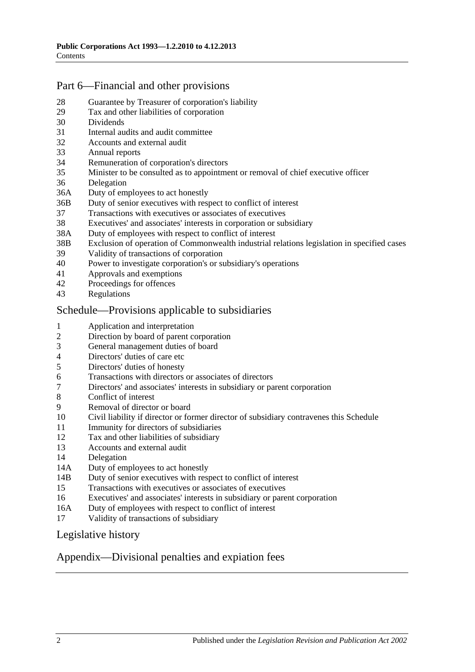### [Part 6—Financial and other provisions](#page-15-2)

- [Guarantee by Treasurer of corporation's liability](#page-15-3)
- [Tax and other liabilities of corporation](#page-15-4)
- [Dividends](#page-16-0)
- [Internal audits and audit committee](#page-16-1)
- [Accounts and external audit](#page-17-0)
- [Annual reports](#page-17-1)
- [Remuneration of corporation's directors](#page-18-0)
- [Minister to be consulted as to appointment or removal of chief executive officer](#page-18-1)
- [Delegation](#page-18-2)
- 36A [Duty of employees to act honestly](#page-19-0)
- 36B [Duty of senior executives with respect to conflict of interest](#page-19-1)
- [Transactions with executives or associates of executives](#page-21-0)
- [Executives' and associates' interests in corporation or subsidiary](#page-22-0)
- 38A [Duty of employees with respect to conflict of interest](#page-23-0)
- 38B [Exclusion of operation of Commonwealth industrial relations legislation in specified cases](#page-24-0)
- [Validity of transactions of corporation](#page-24-1)
- [Power to investigate corporation's or subsidiary's operations](#page-25-0)
- [Approvals and exemptions](#page-27-0)<br>42 Proceedings for offences
- [Proceedings for offences](#page-27-1)
- [Regulations](#page-27-2)

#### [Schedule—Provisions applicable to subsidiaries](#page-27-3)

- [Application and interpretation](#page-27-4)
- [Direction by board of parent corporation](#page-27-5)
- [General management duties of board](#page-27-6)
- [Directors' duties of care etc](#page-28-0)<br>5 Directors' duties of honesty
- [Directors' duties of honesty](#page-29-0)
- [Transactions with directors or associates of directors](#page-29-1)
- [Directors' and associates' interests in subsidiary or parent corporation](#page-30-0)
- [Conflict of interest](#page-31-0)<br>9 Removal of directo
- [Removal of director or board](#page-32-0)
- [Civil liability if director or former director of subsidiary contravenes this Schedule](#page-32-1)
- [Immunity for directors of subsidiaries](#page-32-2)
- [Tax and other liabilities of subsidiary](#page-32-3)
- [Accounts and external audit](#page-33-0)
- [Delegation](#page-33-1)
- 14A [Duty of employees to act honestly](#page-34-0)
- 14B [Duty of senior executives with respect to conflict of interest](#page-35-0)
- [Transactions with executives or associates of executives](#page-36-0)
- [Executives' and associates' interests in subsidiary or parent corporation](#page-38-0)
- 16A [Duty of employees with respect to conflict of interest](#page-39-0)
- [Validity of transactions of subsidiary](#page-40-0)

#### [Legislative history](#page-41-0)

#### [Appendix—Divisional penalties and expiation fees](#page-43-0)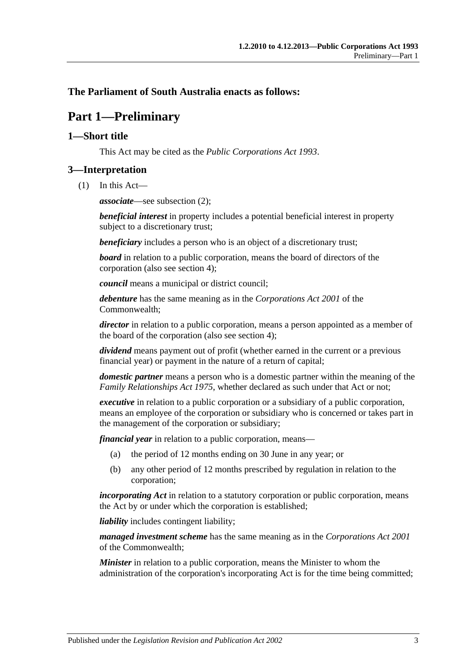#### <span id="page-2-0"></span>**The Parliament of South Australia enacts as follows:**

## **Part 1—Preliminary**

#### <span id="page-2-1"></span>**1—Short title**

This Act may be cited as the *Public Corporations Act 1993*.

#### <span id="page-2-2"></span>**3—Interpretation**

(1) In this Act—

*associate*—see [subsection](#page-3-0) (2);

*beneficial interest* in property includes a potential beneficial interest in property subject to a discretionary trust;

*beneficiary* includes a person who is an object of a discretionary trust;

*board* in relation to a public corporation, means the board of directors of the corporation (also see [section](#page-4-0) 4);

*council* means a municipal or district council;

*debenture* has the same meaning as in the *Corporations Act 2001* of the Commonwealth;

*director* in relation to a public corporation, means a person appointed as a member of the board of the corporation (also see [section](#page-4-0) 4);

*dividend* means payment out of profit (whether earned in the current or a previous financial year) or payment in the nature of a return of capital;

*domestic partner* means a person who is a domestic partner within the meaning of the *[Family Relationships Act](http://www.legislation.sa.gov.au/index.aspx?action=legref&type=act&legtitle=Family%20Relationships%20Act%201975) 1975*, whether declared as such under that Act or not;

*executive* in relation to a public corporation or a subsidiary of a public corporation, means an employee of the corporation or subsidiary who is concerned or takes part in the management of the corporation or subsidiary;

*financial year* in relation to a public corporation, means—

- (a) the period of 12 months ending on 30 June in any year; or
- (b) any other period of 12 months prescribed by regulation in relation to the corporation;

*incorporating Act* in relation to a statutory corporation or public corporation, means the Act by or under which the corporation is established;

*liability* includes contingent liability;

*managed investment scheme* has the same meaning as in the *Corporations Act 2001* of the Commonwealth;

*Minister* in relation to a public corporation, means the Minister to whom the administration of the corporation's incorporating Act is for the time being committed;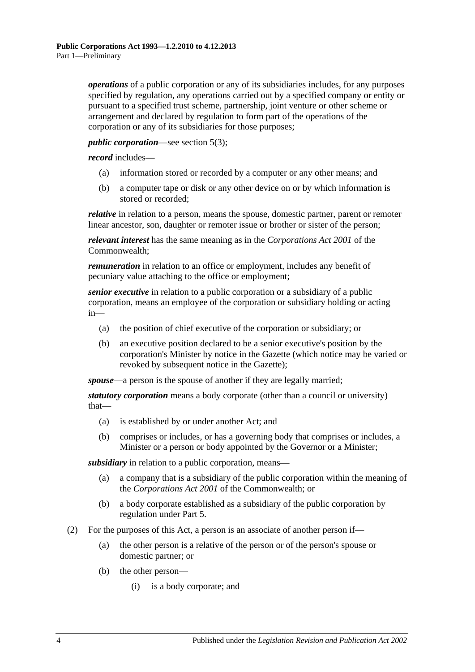*operations* of a public corporation or any of its subsidiaries includes, for any purposes specified by regulation, any operations carried out by a specified company or entity or pursuant to a specified trust scheme, partnership, joint venture or other scheme or arrangement and declared by regulation to form part of the operations of the corporation or any of its subsidiaries for those purposes;

#### *public corporation*—see [section](#page-4-2) 5(3);

*record* includes—

- (a) information stored or recorded by a computer or any other means; and
- (b) a computer tape or disk or any other device on or by which information is stored or recorded;

*relative* in relation to a person, means the spouse, domestic partner, parent or remoter linear ancestor, son, daughter or remoter issue or brother or sister of the person;

*relevant interest* has the same meaning as in the *Corporations Act 2001* of the Commonwealth;

*remuneration* in relation to an office or employment, includes any benefit of pecuniary value attaching to the office or employment;

*senior executive* in relation to a public corporation or a subsidiary of a public corporation, means an employee of the corporation or subsidiary holding or acting in—

- (a) the position of chief executive of the corporation or subsidiary; or
- (b) an executive position declared to be a senior executive's position by the corporation's Minister by notice in the Gazette (which notice may be varied or revoked by subsequent notice in the Gazette);

*spouse*—a person is the spouse of another if they are legally married;

*statutory corporation* means a body corporate (other than a council or university) that—

- (a) is established by or under another Act; and
- (b) comprises or includes, or has a governing body that comprises or includes, a Minister or a person or body appointed by the Governor or a Minister;

*subsidiary* in relation to a public corporation, means—

- (a) a company that is a subsidiary of the public corporation within the meaning of the *Corporations Act 2001* of the Commonwealth; or
- (b) a body corporate established as a subsidiary of the public corporation by regulation under [Part 5.](#page-13-3)
- <span id="page-3-1"></span><span id="page-3-0"></span>(2) For the purposes of this Act, a person is an associate of another person if—
	- (a) the other person is a relative of the person or of the person's spouse or domestic partner; or
	- (b) the other person—
		- (i) is a body corporate; and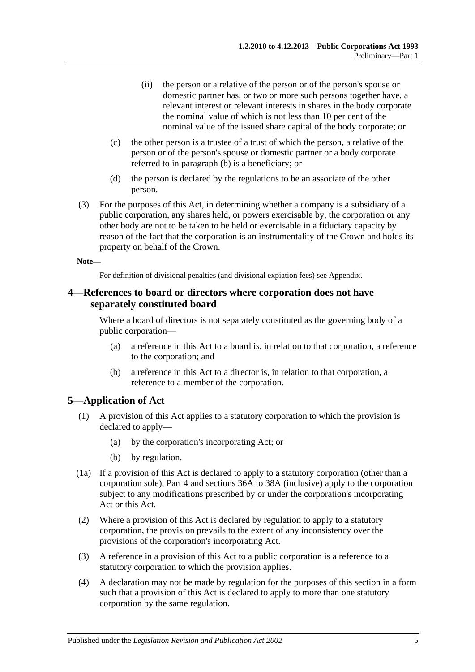- (ii) the person or a relative of the person or of the person's spouse or domestic partner has, or two or more such persons together have, a relevant interest or relevant interests in shares in the body corporate the nominal value of which is not less than 10 per cent of the nominal value of the issued share capital of the body corporate; or
- (c) the other person is a trustee of a trust of which the person, a relative of the person or of the person's spouse or domestic partner or a body corporate referred to in [paragraph](#page-3-1) (b) is a beneficiary; or
- (d) the person is declared by the regulations to be an associate of the other person.
- (3) For the purposes of this Act, in determining whether a company is a subsidiary of a public corporation, any shares held, or powers exercisable by, the corporation or any other body are not to be taken to be held or exercisable in a fiduciary capacity by reason of the fact that the corporation is an instrumentality of the Crown and holds its property on behalf of the Crown.

#### **Note—**

For definition of divisional penalties (and divisional expiation fees) see Appendix.

#### <span id="page-4-0"></span>**4—References to board or directors where corporation does not have separately constituted board**

Where a board of directors is not separately constituted as the governing body of a public corporation—

- (a) a reference in this Act to a board is, in relation to that corporation, a reference to the corporation; and
- (b) a reference in this Act to a director is, in relation to that corporation, a reference to a member of the corporation.

#### <span id="page-4-1"></span>**5—Application of Act**

- (1) A provision of this Act applies to a statutory corporation to which the provision is declared to apply—
	- (a) by the corporation's incorporating Act; or
	- (b) by regulation.
- (1a) If a provision of this Act is declared to apply to a statutory corporation (other than a corporation sole), [Part 4](#page-8-1) and [sections](#page-19-0) 36A to [38A](#page-23-0) (inclusive) apply to the corporation subject to any modifications prescribed by or under the corporation's incorporating Act or this Act.
- (2) Where a provision of this Act is declared by regulation to apply to a statutory corporation, the provision prevails to the extent of any inconsistency over the provisions of the corporation's incorporating Act.
- <span id="page-4-2"></span>(3) A reference in a provision of this Act to a public corporation is a reference to a statutory corporation to which the provision applies.
- (4) A declaration may not be made by regulation for the purposes of this section in a form such that a provision of this Act is declared to apply to more than one statutory corporation by the same regulation.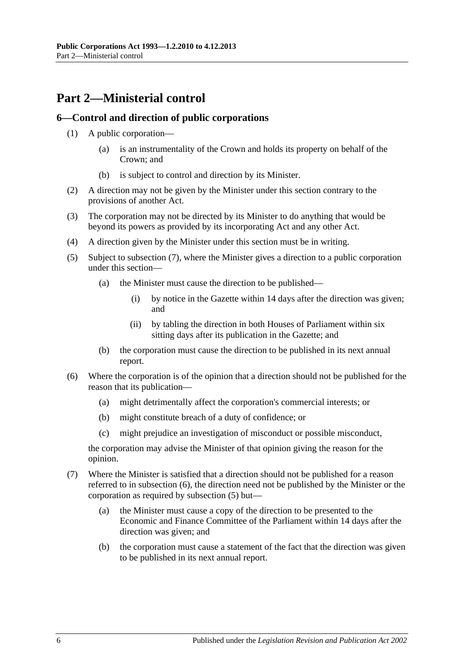# <span id="page-5-0"></span>**Part 2—Ministerial control**

#### <span id="page-5-1"></span>**6—Control and direction of public corporations**

- (1) A public corporation—
	- (a) is an instrumentality of the Crown and holds its property on behalf of the Crown; and
	- (b) is subject to control and direction by its Minister.
- (2) A direction may not be given by the Minister under this section contrary to the provisions of another Act.
- (3) The corporation may not be directed by its Minister to do anything that would be beyond its powers as provided by its incorporating Act and any other Act.
- (4) A direction given by the Minister under this section must be in writing.
- <span id="page-5-4"></span>(5) Subject to [subsection](#page-5-2) (7), where the Minister gives a direction to a public corporation under this section—
	- (a) the Minister must cause the direction to be published—
		- (i) by notice in the Gazette within 14 days after the direction was given; and
		- (ii) by tabling the direction in both Houses of Parliament within six sitting days after its publication in the Gazette; and
	- (b) the corporation must cause the direction to be published in its next annual report.
- <span id="page-5-3"></span>(6) Where the corporation is of the opinion that a direction should not be published for the reason that its publication—
	- (a) might detrimentally affect the corporation's commercial interests; or
	- (b) might constitute breach of a duty of confidence; or
	- (c) might prejudice an investigation of misconduct or possible misconduct,

the corporation may advise the Minister of that opinion giving the reason for the opinion.

- <span id="page-5-2"></span>(7) Where the Minister is satisfied that a direction should not be published for a reason referred to in [subsection](#page-5-3) (6), the direction need not be published by the Minister or the corporation as required by [subsection](#page-5-4) (5) but—
	- (a) the Minister must cause a copy of the direction to be presented to the Economic and Finance Committee of the Parliament within 14 days after the direction was given; and
	- (b) the corporation must cause a statement of the fact that the direction was given to be published in its next annual report.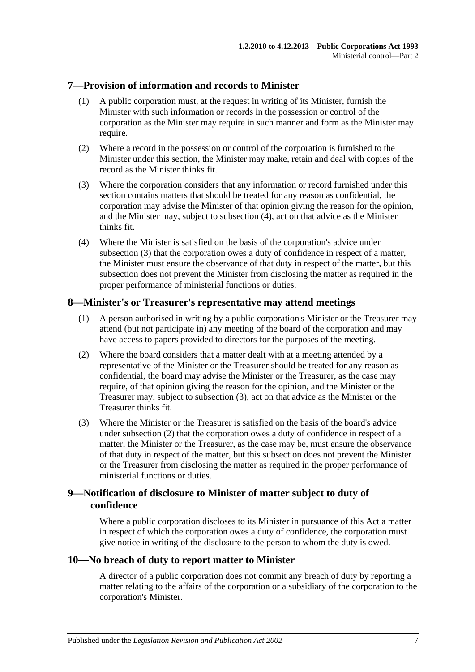#### <span id="page-6-0"></span>**7—Provision of information and records to Minister**

- (1) A public corporation must, at the request in writing of its Minister, furnish the Minister with such information or records in the possession or control of the corporation as the Minister may require in such manner and form as the Minister may require.
- (2) Where a record in the possession or control of the corporation is furnished to the Minister under this section, the Minister may make, retain and deal with copies of the record as the Minister thinks fit.
- <span id="page-6-5"></span>(3) Where the corporation considers that any information or record furnished under this section contains matters that should be treated for any reason as confidential, the corporation may advise the Minister of that opinion giving the reason for the opinion, and the Minister may, subject to [subsection](#page-6-4) (4), act on that advice as the Minister thinks fit.
- <span id="page-6-4"></span>(4) Where the Minister is satisfied on the basis of the corporation's advice under [subsection](#page-6-5) (3) that the corporation owes a duty of confidence in respect of a matter, the Minister must ensure the observance of that duty in respect of the matter, but this subsection does not prevent the Minister from disclosing the matter as required in the proper performance of ministerial functions or duties.

#### <span id="page-6-1"></span>**8—Minister's or Treasurer's representative may attend meetings**

- (1) A person authorised in writing by a public corporation's Minister or the Treasurer may attend (but not participate in) any meeting of the board of the corporation and may have access to papers provided to directors for the purposes of the meeting.
- <span id="page-6-7"></span>(2) Where the board considers that a matter dealt with at a meeting attended by a representative of the Minister or the Treasurer should be treated for any reason as confidential, the board may advise the Minister or the Treasurer, as the case may require, of that opinion giving the reason for the opinion, and the Minister or the Treasurer may, subject to [subsection](#page-6-6) (3), act on that advice as the Minister or the Treasurer thinks fit.
- <span id="page-6-6"></span>(3) Where the Minister or the Treasurer is satisfied on the basis of the board's advice under [subsection](#page-6-7) (2) that the corporation owes a duty of confidence in respect of a matter, the Minister or the Treasurer, as the case may be, must ensure the observance of that duty in respect of the matter, but this subsection does not prevent the Minister or the Treasurer from disclosing the matter as required in the proper performance of ministerial functions or duties.

#### <span id="page-6-2"></span>**9—Notification of disclosure to Minister of matter subject to duty of confidence**

Where a public corporation discloses to its Minister in pursuance of this Act a matter in respect of which the corporation owes a duty of confidence, the corporation must give notice in writing of the disclosure to the person to whom the duty is owed.

#### <span id="page-6-3"></span>**10—No breach of duty to report matter to Minister**

A director of a public corporation does not commit any breach of duty by reporting a matter relating to the affairs of the corporation or a subsidiary of the corporation to the corporation's Minister.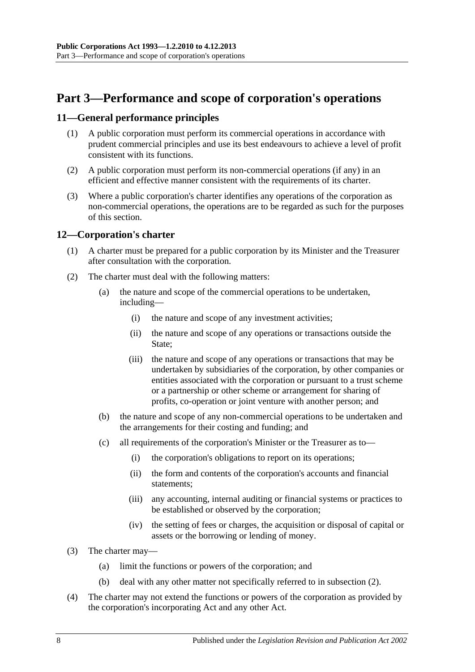# <span id="page-7-0"></span>**Part 3—Performance and scope of corporation's operations**

#### <span id="page-7-1"></span>**11—General performance principles**

- (1) A public corporation must perform its commercial operations in accordance with prudent commercial principles and use its best endeavours to achieve a level of profit consistent with its functions.
- (2) A public corporation must perform its non-commercial operations (if any) in an efficient and effective manner consistent with the requirements of its charter.
- (3) Where a public corporation's charter identifies any operations of the corporation as non-commercial operations, the operations are to be regarded as such for the purposes of this section.

#### <span id="page-7-2"></span>**12—Corporation's charter**

- (1) A charter must be prepared for a public corporation by its Minister and the Treasurer after consultation with the corporation.
- <span id="page-7-3"></span>(2) The charter must deal with the following matters:
	- (a) the nature and scope of the commercial operations to be undertaken, including—
		- (i) the nature and scope of any investment activities;
		- (ii) the nature and scope of any operations or transactions outside the State:
		- (iii) the nature and scope of any operations or transactions that may be undertaken by subsidiaries of the corporation, by other companies or entities associated with the corporation or pursuant to a trust scheme or a partnership or other scheme or arrangement for sharing of profits, co-operation or joint venture with another person; and
	- (b) the nature and scope of any non-commercial operations to be undertaken and the arrangements for their costing and funding; and
	- (c) all requirements of the corporation's Minister or the Treasurer as to—
		- (i) the corporation's obligations to report on its operations;
		- (ii) the form and contents of the corporation's accounts and financial statements;
		- (iii) any accounting, internal auditing or financial systems or practices to be established or observed by the corporation;
		- (iv) the setting of fees or charges, the acquisition or disposal of capital or assets or the borrowing or lending of money.
- (3) The charter may—
	- (a) limit the functions or powers of the corporation; and
	- (b) deal with any other matter not specifically referred to in [subsection](#page-7-3) (2).
- (4) The charter may not extend the functions or powers of the corporation as provided by the corporation's incorporating Act and any other Act.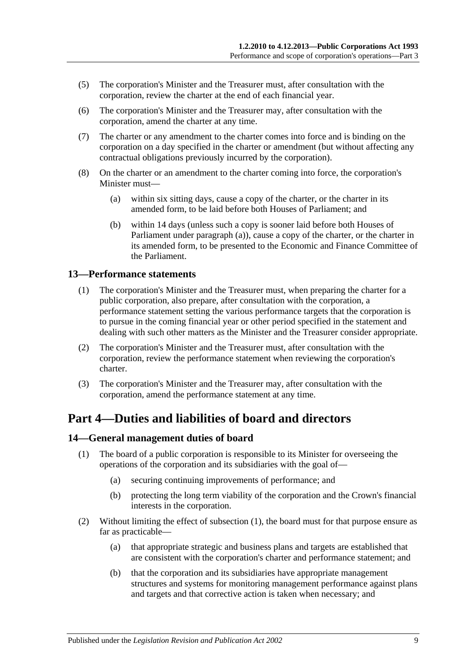- (5) The corporation's Minister and the Treasurer must, after consultation with the corporation, review the charter at the end of each financial year.
- (6) The corporation's Minister and the Treasurer may, after consultation with the corporation, amend the charter at any time.
- (7) The charter or any amendment to the charter comes into force and is binding on the corporation on a day specified in the charter or amendment (but without affecting any contractual obligations previously incurred by the corporation).
- <span id="page-8-3"></span>(8) On the charter or an amendment to the charter coming into force, the corporation's Minister must—
	- (a) within six sitting days, cause a copy of the charter, or the charter in its amended form, to be laid before both Houses of Parliament; and
	- (b) within 14 days (unless such a copy is sooner laid before both Houses of Parliament under [paragraph](#page-8-3) (a)), cause a copy of the charter, or the charter in its amended form, to be presented to the Economic and Finance Committee of the Parliament.

#### <span id="page-8-0"></span>**13—Performance statements**

- (1) The corporation's Minister and the Treasurer must, when preparing the charter for a public corporation, also prepare, after consultation with the corporation, a performance statement setting the various performance targets that the corporation is to pursue in the coming financial year or other period specified in the statement and dealing with such other matters as the Minister and the Treasurer consider appropriate.
- (2) The corporation's Minister and the Treasurer must, after consultation with the corporation, review the performance statement when reviewing the corporation's charter.
- (3) The corporation's Minister and the Treasurer may, after consultation with the corporation, amend the performance statement at any time.

### <span id="page-8-1"></span>**Part 4—Duties and liabilities of board and directors**

#### <span id="page-8-4"></span><span id="page-8-2"></span>**14—General management duties of board**

- (1) The board of a public corporation is responsible to its Minister for overseeing the operations of the corporation and its subsidiaries with the goal of—
	- (a) securing continuing improvements of performance; and
	- (b) protecting the long term viability of the corporation and the Crown's financial interests in the corporation.
- (2) Without limiting the effect of [subsection](#page-8-4) (1), the board must for that purpose ensure as far as practicable—
	- (a) that appropriate strategic and business plans and targets are established that are consistent with the corporation's charter and performance statement; and
	- (b) that the corporation and its subsidiaries have appropriate management structures and systems for monitoring management performance against plans and targets and that corrective action is taken when necessary; and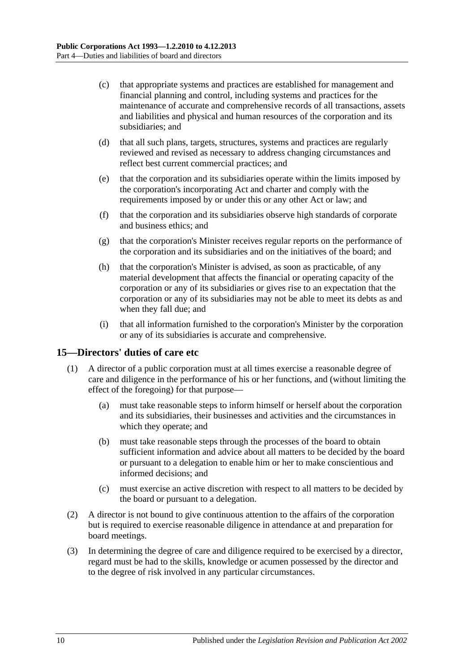- (c) that appropriate systems and practices are established for management and financial planning and control, including systems and practices for the maintenance of accurate and comprehensive records of all transactions, assets and liabilities and physical and human resources of the corporation and its subsidiaries; and
- (d) that all such plans, targets, structures, systems and practices are regularly reviewed and revised as necessary to address changing circumstances and reflect best current commercial practices; and
- (e) that the corporation and its subsidiaries operate within the limits imposed by the corporation's incorporating Act and charter and comply with the requirements imposed by or under this or any other Act or law; and
- (f) that the corporation and its subsidiaries observe high standards of corporate and business ethics; and
- (g) that the corporation's Minister receives regular reports on the performance of the corporation and its subsidiaries and on the initiatives of the board; and
- (h) that the corporation's Minister is advised, as soon as practicable, of any material development that affects the financial or operating capacity of the corporation or any of its subsidiaries or gives rise to an expectation that the corporation or any of its subsidiaries may not be able to meet its debts as and when they fall due; and
- (i) that all information furnished to the corporation's Minister by the corporation or any of its subsidiaries is accurate and comprehensive.

#### <span id="page-9-0"></span>**15—Directors' duties of care etc**

- (1) A director of a public corporation must at all times exercise a reasonable degree of care and diligence in the performance of his or her functions, and (without limiting the effect of the foregoing) for that purpose—
	- (a) must take reasonable steps to inform himself or herself about the corporation and its subsidiaries, their businesses and activities and the circumstances in which they operate; and
	- (b) must take reasonable steps through the processes of the board to obtain sufficient information and advice about all matters to be decided by the board or pursuant to a delegation to enable him or her to make conscientious and informed decisions; and
	- (c) must exercise an active discretion with respect to all matters to be decided by the board or pursuant to a delegation.
- (2) A director is not bound to give continuous attention to the affairs of the corporation but is required to exercise reasonable diligence in attendance at and preparation for board meetings.
- (3) In determining the degree of care and diligence required to be exercised by a director, regard must be had to the skills, knowledge or acumen possessed by the director and to the degree of risk involved in any particular circumstances.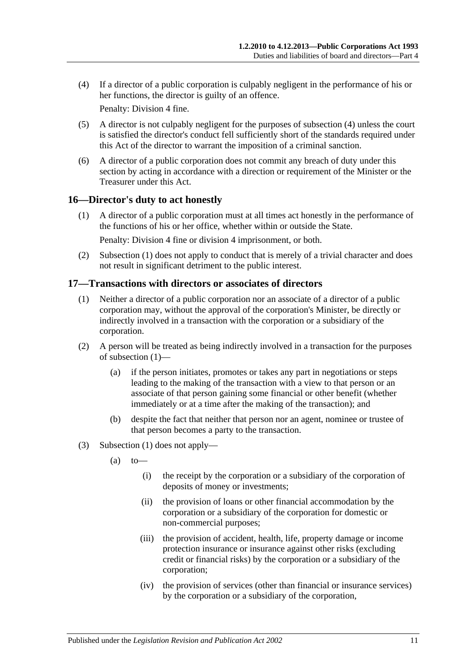<span id="page-10-2"></span>(4) If a director of a public corporation is culpably negligent in the performance of his or her functions, the director is guilty of an offence.

Penalty: Division 4 fine.

- (5) A director is not culpably negligent for the purposes of [subsection](#page-10-2) (4) unless the court is satisfied the director's conduct fell sufficiently short of the standards required under this Act of the director to warrant the imposition of a criminal sanction.
- (6) A director of a public corporation does not commit any breach of duty under this section by acting in accordance with a direction or requirement of the Minister or the Treasurer under this Act.

#### <span id="page-10-3"></span><span id="page-10-0"></span>**16—Director's duty to act honestly**

(1) A director of a public corporation must at all times act honestly in the performance of the functions of his or her office, whether within or outside the State.

Penalty: Division 4 fine or division 4 imprisonment, or both.

(2) [Subsection](#page-10-3) (1) does not apply to conduct that is merely of a trivial character and does not result in significant detriment to the public interest.

#### <span id="page-10-4"></span><span id="page-10-1"></span>**17—Transactions with directors or associates of directors**

- (1) Neither a director of a public corporation nor an associate of a director of a public corporation may, without the approval of the corporation's Minister, be directly or indirectly involved in a transaction with the corporation or a subsidiary of the corporation.
- (2) A person will be treated as being indirectly involved in a transaction for the purposes of [subsection](#page-10-4) (1)—
	- (a) if the person initiates, promotes or takes any part in negotiations or steps leading to the making of the transaction with a view to that person or an associate of that person gaining some financial or other benefit (whether immediately or at a time after the making of the transaction); and
	- (b) despite the fact that neither that person nor an agent, nominee or trustee of that person becomes a party to the transaction.
- (3) [Subsection](#page-10-4) (1) does not apply—
	- $(a)$  to
		- (i) the receipt by the corporation or a subsidiary of the corporation of deposits of money or investments;
		- (ii) the provision of loans or other financial accommodation by the corporation or a subsidiary of the corporation for domestic or non-commercial purposes;
		- (iii) the provision of accident, health, life, property damage or income protection insurance or insurance against other risks (excluding credit or financial risks) by the corporation or a subsidiary of the corporation;
		- (iv) the provision of services (other than financial or insurance services) by the corporation or a subsidiary of the corporation,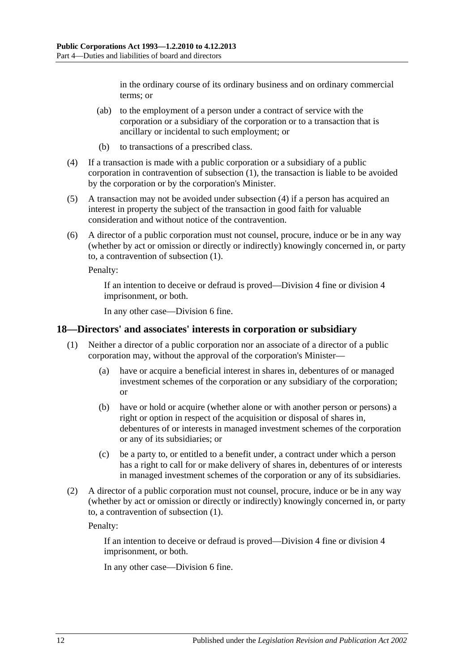in the ordinary course of its ordinary business and on ordinary commercial terms; or

- (ab) to the employment of a person under a contract of service with the corporation or a subsidiary of the corporation or to a transaction that is ancillary or incidental to such employment; or
- (b) to transactions of a prescribed class.
- <span id="page-11-1"></span>(4) If a transaction is made with a public corporation or a subsidiary of a public corporation in contravention of [subsection](#page-10-4) (1), the transaction is liable to be avoided by the corporation or by the corporation's Minister.
- (5) A transaction may not be avoided under [subsection](#page-11-1) (4) if a person has acquired an interest in property the subject of the transaction in good faith for valuable consideration and without notice of the contravention.
- (6) A director of a public corporation must not counsel, procure, induce or be in any way (whether by act or omission or directly or indirectly) knowingly concerned in, or party to, a contravention of [subsection](#page-10-4) (1).

Penalty:

If an intention to deceive or defraud is proved—Division 4 fine or division 4 imprisonment, or both.

In any other case—Division 6 fine.

#### <span id="page-11-2"></span><span id="page-11-0"></span>**18—Directors' and associates' interests in corporation or subsidiary**

- (1) Neither a director of a public corporation nor an associate of a director of a public corporation may, without the approval of the corporation's Minister—
	- (a) have or acquire a beneficial interest in shares in, debentures of or managed investment schemes of the corporation or any subsidiary of the corporation; or
	- (b) have or hold or acquire (whether alone or with another person or persons) a right or option in respect of the acquisition or disposal of shares in, debentures of or interests in managed investment schemes of the corporation or any of its subsidiaries; or
	- (c) be a party to, or entitled to a benefit under, a contract under which a person has a right to call for or make delivery of shares in, debentures of or interests in managed investment schemes of the corporation or any of its subsidiaries.
- (2) A director of a public corporation must not counsel, procure, induce or be in any way (whether by act or omission or directly or indirectly) knowingly concerned in, or party to, a contravention of [subsection](#page-11-2) (1).

Penalty:

If an intention to deceive or defraud is proved—Division 4 fine or division 4 imprisonment, or both.

In any other case—Division 6 fine.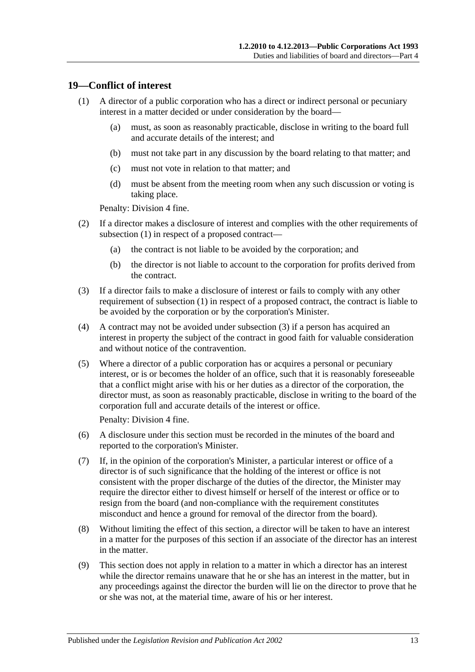#### <span id="page-12-1"></span><span id="page-12-0"></span>**19—Conflict of interest**

- (1) A director of a public corporation who has a direct or indirect personal or pecuniary interest in a matter decided or under consideration by the board—
	- (a) must, as soon as reasonably practicable, disclose in writing to the board full and accurate details of the interest; and
	- (b) must not take part in any discussion by the board relating to that matter; and
	- (c) must not vote in relation to that matter; and
	- (d) must be absent from the meeting room when any such discussion or voting is taking place.

Penalty: Division 4 fine.

- (2) If a director makes a disclosure of interest and complies with the other requirements of [subsection](#page-12-1) (1) in respect of a proposed contract—
	- (a) the contract is not liable to be avoided by the corporation; and
	- (b) the director is not liable to account to the corporation for profits derived from the contract.
- <span id="page-12-2"></span>(3) If a director fails to make a disclosure of interest or fails to comply with any other requirement of [subsection](#page-12-1) (1) in respect of a proposed contract, the contract is liable to be avoided by the corporation or by the corporation's Minister.
- (4) A contract may not be avoided under [subsection](#page-12-2) (3) if a person has acquired an interest in property the subject of the contract in good faith for valuable consideration and without notice of the contravention.
- (5) Where a director of a public corporation has or acquires a personal or pecuniary interest, or is or becomes the holder of an office, such that it is reasonably foreseeable that a conflict might arise with his or her duties as a director of the corporation, the director must, as soon as reasonably practicable, disclose in writing to the board of the corporation full and accurate details of the interest or office.

Penalty: Division 4 fine.

- (6) A disclosure under this section must be recorded in the minutes of the board and reported to the corporation's Minister.
- (7) If, in the opinion of the corporation's Minister, a particular interest or office of a director is of such significance that the holding of the interest or office is not consistent with the proper discharge of the duties of the director, the Minister may require the director either to divest himself or herself of the interest or office or to resign from the board (and non-compliance with the requirement constitutes misconduct and hence a ground for removal of the director from the board).
- (8) Without limiting the effect of this section, a director will be taken to have an interest in a matter for the purposes of this section if an associate of the director has an interest in the matter.
- (9) This section does not apply in relation to a matter in which a director has an interest while the director remains unaware that he or she has an interest in the matter, but in any proceedings against the director the burden will lie on the director to prove that he or she was not, at the material time, aware of his or her interest.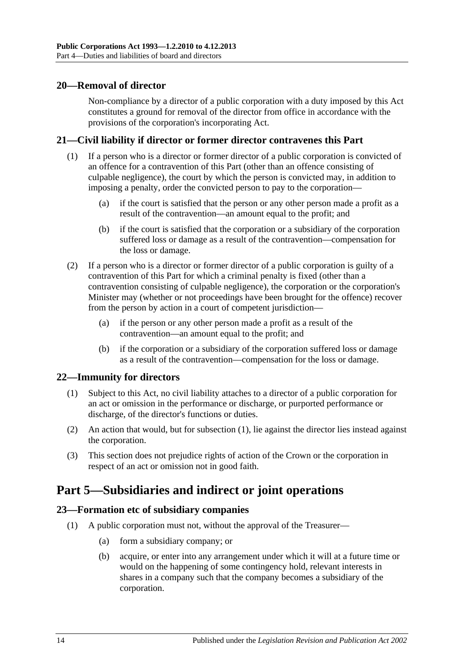#### <span id="page-13-0"></span>**20—Removal of director**

Non-compliance by a director of a public corporation with a duty imposed by this Act constitutes a ground for removal of the director from office in accordance with the provisions of the corporation's incorporating Act.

#### <span id="page-13-1"></span>**21—Civil liability if director or former director contravenes this Part**

- (1) If a person who is a director or former director of a public corporation is convicted of an offence for a contravention of this Part (other than an offence consisting of culpable negligence), the court by which the person is convicted may, in addition to imposing a penalty, order the convicted person to pay to the corporation—
	- (a) if the court is satisfied that the person or any other person made a profit as a result of the contravention—an amount equal to the profit; and
	- (b) if the court is satisfied that the corporation or a subsidiary of the corporation suffered loss or damage as a result of the contravention—compensation for the loss or damage.
- (2) If a person who is a director or former director of a public corporation is guilty of a contravention of this Part for which a criminal penalty is fixed (other than a contravention consisting of culpable negligence), the corporation or the corporation's Minister may (whether or not proceedings have been brought for the offence) recover from the person by action in a court of competent jurisdiction—
	- (a) if the person or any other person made a profit as a result of the contravention—an amount equal to the profit; and
	- (b) if the corporation or a subsidiary of the corporation suffered loss or damage as a result of the contravention—compensation for the loss or damage.

#### <span id="page-13-5"></span><span id="page-13-2"></span>**22—Immunity for directors**

- (1) Subject to this Act, no civil liability attaches to a director of a public corporation for an act or omission in the performance or discharge, or purported performance or discharge, of the director's functions or duties.
- (2) An action that would, but for [subsection](#page-13-5) (1), lie against the director lies instead against the corporation.
- (3) This section does not prejudice rights of action of the Crown or the corporation in respect of an act or omission not in good faith.

## <span id="page-13-3"></span>**Part 5—Subsidiaries and indirect or joint operations**

#### <span id="page-13-4"></span>**23—Formation etc of subsidiary companies**

- (1) A public corporation must not, without the approval of the Treasurer—
	- (a) form a subsidiary company; or
	- (b) acquire, or enter into any arrangement under which it will at a future time or would on the happening of some contingency hold, relevant interests in shares in a company such that the company becomes a subsidiary of the corporation.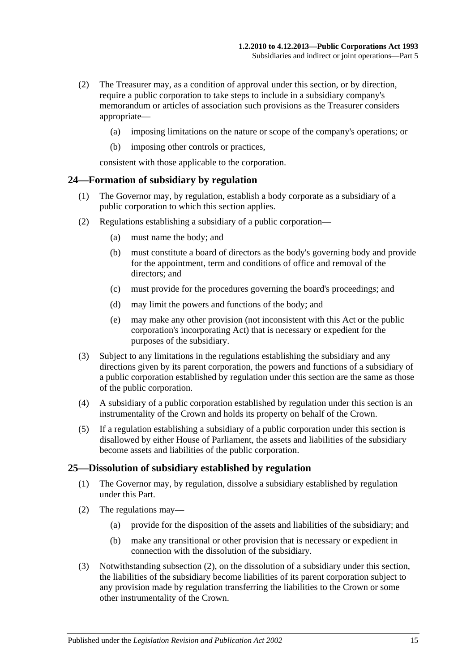- (2) The Treasurer may, as a condition of approval under this section, or by direction, require a public corporation to take steps to include in a subsidiary company's memorandum or articles of association such provisions as the Treasurer considers appropriate—
	- (a) imposing limitations on the nature or scope of the company's operations; or
	- (b) imposing other controls or practices,

consistent with those applicable to the corporation.

#### <span id="page-14-0"></span>**24—Formation of subsidiary by regulation**

- (1) The Governor may, by regulation, establish a body corporate as a subsidiary of a public corporation to which this section applies.
- (2) Regulations establishing a subsidiary of a public corporation—
	- (a) must name the body; and
	- (b) must constitute a board of directors as the body's governing body and provide for the appointment, term and conditions of office and removal of the directors; and
	- (c) must provide for the procedures governing the board's proceedings; and
	- (d) may limit the powers and functions of the body; and
	- (e) may make any other provision (not inconsistent with this Act or the public corporation's incorporating Act) that is necessary or expedient for the purposes of the subsidiary.
- (3) Subject to any limitations in the regulations establishing the subsidiary and any directions given by its parent corporation, the powers and functions of a subsidiary of a public corporation established by regulation under this section are the same as those of the public corporation.
- (4) A subsidiary of a public corporation established by regulation under this section is an instrumentality of the Crown and holds its property on behalf of the Crown.
- (5) If a regulation establishing a subsidiary of a public corporation under this section is disallowed by either House of Parliament, the assets and liabilities of the subsidiary become assets and liabilities of the public corporation.

#### <span id="page-14-1"></span>**25—Dissolution of subsidiary established by regulation**

- (1) The Governor may, by regulation, dissolve a subsidiary established by regulation under this Part.
- <span id="page-14-2"></span>(2) The regulations may—
	- (a) provide for the disposition of the assets and liabilities of the subsidiary; and
	- (b) make any transitional or other provision that is necessary or expedient in connection with the dissolution of the subsidiary.
- (3) Notwithstanding [subsection](#page-14-2) (2), on the dissolution of a subsidiary under this section, the liabilities of the subsidiary become liabilities of its parent corporation subject to any provision made by regulation transferring the liabilities to the Crown or some other instrumentality of the Crown.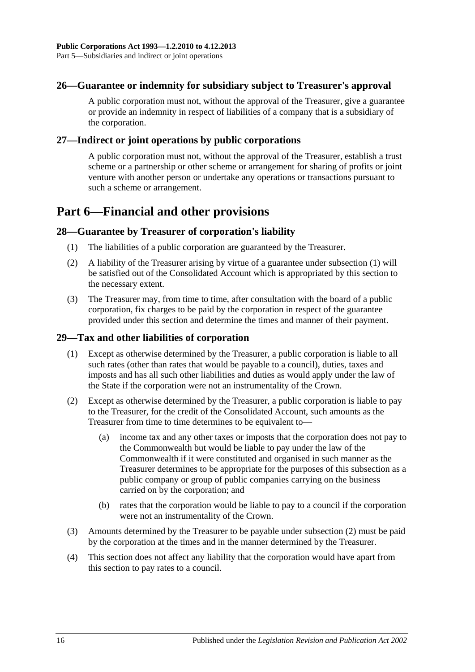#### <span id="page-15-0"></span>**26—Guarantee or indemnity for subsidiary subject to Treasurer's approval**

A public corporation must not, without the approval of the Treasurer, give a guarantee or provide an indemnity in respect of liabilities of a company that is a subsidiary of the corporation.

#### <span id="page-15-1"></span>**27—Indirect or joint operations by public corporations**

A public corporation must not, without the approval of the Treasurer, establish a trust scheme or a partnership or other scheme or arrangement for sharing of profits or joint venture with another person or undertake any operations or transactions pursuant to such a scheme or arrangement.

# <span id="page-15-2"></span>**Part 6—Financial and other provisions**

#### <span id="page-15-5"></span><span id="page-15-3"></span>**28—Guarantee by Treasurer of corporation's liability**

- (1) The liabilities of a public corporation are guaranteed by the Treasurer.
- (2) A liability of the Treasurer arising by virtue of a guarantee under [subsection](#page-15-5) (1) will be satisfied out of the Consolidated Account which is appropriated by this section to the necessary extent.
- (3) The Treasurer may, from time to time, after consultation with the board of a public corporation, fix charges to be paid by the corporation in respect of the guarantee provided under this section and determine the times and manner of their payment.

#### <span id="page-15-4"></span>**29—Tax and other liabilities of corporation**

- (1) Except as otherwise determined by the Treasurer, a public corporation is liable to all such rates (other than rates that would be payable to a council), duties, taxes and imposts and has all such other liabilities and duties as would apply under the law of the State if the corporation were not an instrumentality of the Crown.
- <span id="page-15-6"></span>(2) Except as otherwise determined by the Treasurer, a public corporation is liable to pay to the Treasurer, for the credit of the Consolidated Account, such amounts as the Treasurer from time to time determines to be equivalent to—
	- (a) income tax and any other taxes or imposts that the corporation does not pay to the Commonwealth but would be liable to pay under the law of the Commonwealth if it were constituted and organised in such manner as the Treasurer determines to be appropriate for the purposes of this subsection as a public company or group of public companies carrying on the business carried on by the corporation; and
	- (b) rates that the corporation would be liable to pay to a council if the corporation were not an instrumentality of the Crown.
- (3) Amounts determined by the Treasurer to be payable under [subsection](#page-15-6) (2) must be paid by the corporation at the times and in the manner determined by the Treasurer.
- (4) This section does not affect any liability that the corporation would have apart from this section to pay rates to a council.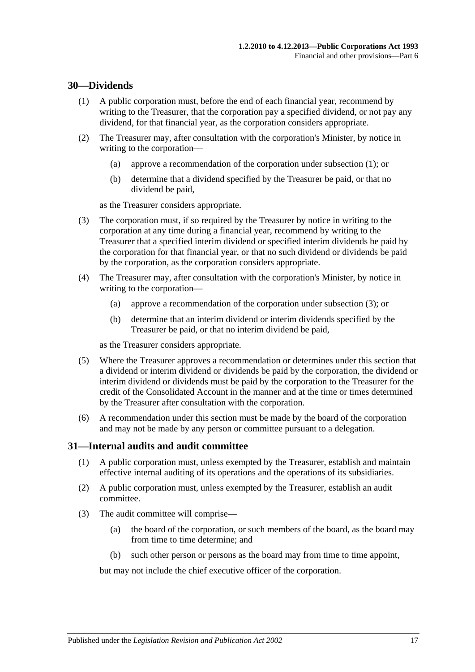#### <span id="page-16-2"></span><span id="page-16-0"></span>**30—Dividends**

- (1) A public corporation must, before the end of each financial year, recommend by writing to the Treasurer, that the corporation pay a specified dividend, or not pay any dividend, for that financial year, as the corporation considers appropriate.
- (2) The Treasurer may, after consultation with the corporation's Minister, by notice in writing to the corporation—
	- (a) approve a recommendation of the corporation under [subsection](#page-16-2) (1); or
	- (b) determine that a dividend specified by the Treasurer be paid, or that no dividend be paid,

as the Treasurer considers appropriate.

- <span id="page-16-3"></span>(3) The corporation must, if so required by the Treasurer by notice in writing to the corporation at any time during a financial year, recommend by writing to the Treasurer that a specified interim dividend or specified interim dividends be paid by the corporation for that financial year, or that no such dividend or dividends be paid by the corporation, as the corporation considers appropriate.
- (4) The Treasurer may, after consultation with the corporation's Minister, by notice in writing to the corporation—
	- (a) approve a recommendation of the corporation under [subsection](#page-16-3) (3); or
	- (b) determine that an interim dividend or interim dividends specified by the Treasurer be paid, or that no interim dividend be paid,

as the Treasurer considers appropriate.

- (5) Where the Treasurer approves a recommendation or determines under this section that a dividend or interim dividend or dividends be paid by the corporation, the dividend or interim dividend or dividends must be paid by the corporation to the Treasurer for the credit of the Consolidated Account in the manner and at the time or times determined by the Treasurer after consultation with the corporation.
- (6) A recommendation under this section must be made by the board of the corporation and may not be made by any person or committee pursuant to a delegation.

#### <span id="page-16-1"></span>**31—Internal audits and audit committee**

- (1) A public corporation must, unless exempted by the Treasurer, establish and maintain effective internal auditing of its operations and the operations of its subsidiaries.
- (2) A public corporation must, unless exempted by the Treasurer, establish an audit committee.
- (3) The audit committee will comprise—
	- (a) the board of the corporation, or such members of the board, as the board may from time to time determine; and
	- (b) such other person or persons as the board may from time to time appoint,

but may not include the chief executive officer of the corporation.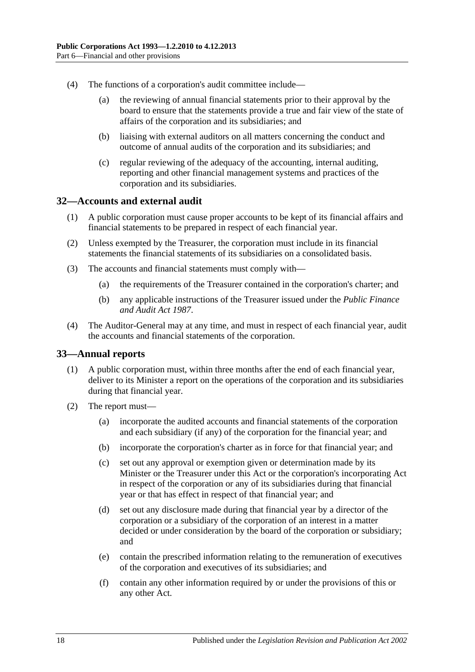- (4) The functions of a corporation's audit committee include—
	- (a) the reviewing of annual financial statements prior to their approval by the board to ensure that the statements provide a true and fair view of the state of affairs of the corporation and its subsidiaries; and
	- (b) liaising with external auditors on all matters concerning the conduct and outcome of annual audits of the corporation and its subsidiaries; and
	- (c) regular reviewing of the adequacy of the accounting, internal auditing, reporting and other financial management systems and practices of the corporation and its subsidiaries.

#### <span id="page-17-0"></span>**32—Accounts and external audit**

- (1) A public corporation must cause proper accounts to be kept of its financial affairs and financial statements to be prepared in respect of each financial year.
- (2) Unless exempted by the Treasurer, the corporation must include in its financial statements the financial statements of its subsidiaries on a consolidated basis.
- (3) The accounts and financial statements must comply with—
	- (a) the requirements of the Treasurer contained in the corporation's charter; and
	- (b) any applicable instructions of the Treasurer issued under the *[Public Finance](http://www.legislation.sa.gov.au/index.aspx?action=legref&type=act&legtitle=Public%20Finance%20and%20Audit%20Act%201987)  [and Audit Act](http://www.legislation.sa.gov.au/index.aspx?action=legref&type=act&legtitle=Public%20Finance%20and%20Audit%20Act%201987) 1987*.
- (4) The Auditor-General may at any time, and must in respect of each financial year, audit the accounts and financial statements of the corporation.

#### <span id="page-17-1"></span>**33—Annual reports**

- (1) A public corporation must, within three months after the end of each financial year, deliver to its Minister a report on the operations of the corporation and its subsidiaries during that financial year.
- (2) The report must—
	- (a) incorporate the audited accounts and financial statements of the corporation and each subsidiary (if any) of the corporation for the financial year; and
	- (b) incorporate the corporation's charter as in force for that financial year; and
	- (c) set out any approval or exemption given or determination made by its Minister or the Treasurer under this Act or the corporation's incorporating Act in respect of the corporation or any of its subsidiaries during that financial year or that has effect in respect of that financial year; and
	- (d) set out any disclosure made during that financial year by a director of the corporation or a subsidiary of the corporation of an interest in a matter decided or under consideration by the board of the corporation or subsidiary; and
	- (e) contain the prescribed information relating to the remuneration of executives of the corporation and executives of its subsidiaries; and
	- (f) contain any other information required by or under the provisions of this or any other Act.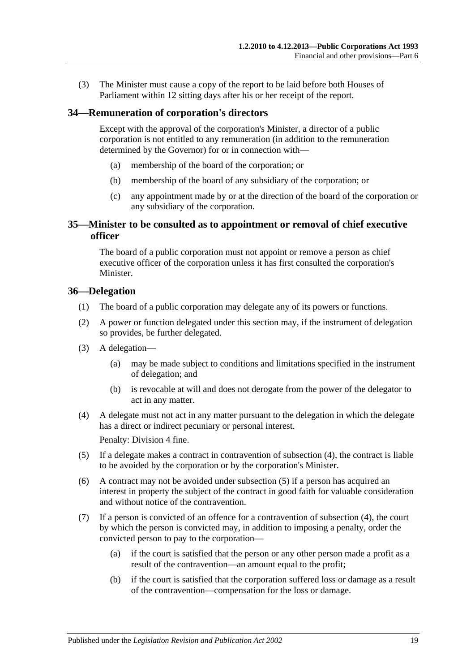(3) The Minister must cause a copy of the report to be laid before both Houses of Parliament within 12 sitting days after his or her receipt of the report.

#### <span id="page-18-0"></span>**34—Remuneration of corporation's directors**

Except with the approval of the corporation's Minister, a director of a public corporation is not entitled to any remuneration (in addition to the remuneration determined by the Governor) for or in connection with—

- (a) membership of the board of the corporation; or
- (b) membership of the board of any subsidiary of the corporation; or
- (c) any appointment made by or at the direction of the board of the corporation or any subsidiary of the corporation.

#### <span id="page-18-1"></span>**35—Minister to be consulted as to appointment or removal of chief executive officer**

The board of a public corporation must not appoint or remove a person as chief executive officer of the corporation unless it has first consulted the corporation's Minister.

#### <span id="page-18-2"></span>**36—Delegation**

- (1) The board of a public corporation may delegate any of its powers or functions.
- (2) A power or function delegated under this section may, if the instrument of delegation so provides, be further delegated.
- (3) A delegation—
	- (a) may be made subject to conditions and limitations specified in the instrument of delegation; and
	- (b) is revocable at will and does not derogate from the power of the delegator to act in any matter.
- <span id="page-18-3"></span>(4) A delegate must not act in any matter pursuant to the delegation in which the delegate has a direct or indirect pecuniary or personal interest.

Penalty: Division 4 fine.

- <span id="page-18-4"></span>(5) If a delegate makes a contract in contravention of [subsection](#page-18-3) (4), the contract is liable to be avoided by the corporation or by the corporation's Minister.
- (6) A contract may not be avoided under [subsection](#page-18-4) (5) if a person has acquired an interest in property the subject of the contract in good faith for valuable consideration and without notice of the contravention.
- (7) If a person is convicted of an offence for a contravention of [subsection](#page-18-3) (4), the court by which the person is convicted may, in addition to imposing a penalty, order the convicted person to pay to the corporation—
	- (a) if the court is satisfied that the person or any other person made a profit as a result of the contravention—an amount equal to the profit;
	- (b) if the court is satisfied that the corporation suffered loss or damage as a result of the contravention—compensation for the loss or damage.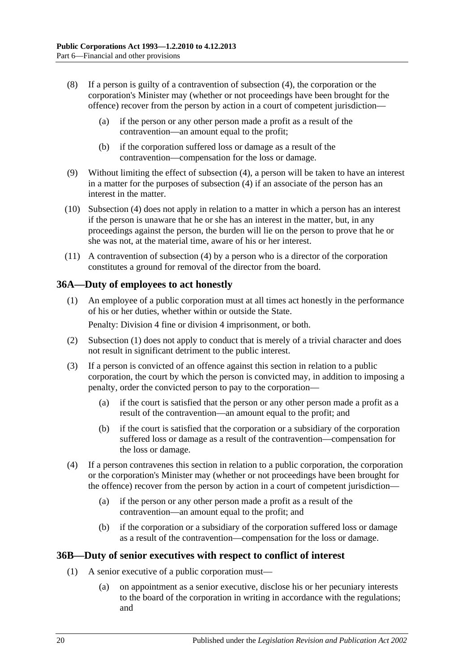- (8) If a person is guilty of a contravention of [subsection](#page-18-3) (4), the corporation or the corporation's Minister may (whether or not proceedings have been brought for the offence) recover from the person by action in a court of competent jurisdiction—
	- (a) if the person or any other person made a profit as a result of the contravention—an amount equal to the profit;
	- (b) if the corporation suffered loss or damage as a result of the contravention—compensation for the loss or damage.
- (9) Without limiting the effect of [subsection](#page-18-3) (4), a person will be taken to have an interest in a matter for the purposes of [subsection](#page-18-3) (4) if an associate of the person has an interest in the matter.
- (10) [Subsection](#page-18-3) (4) does not apply in relation to a matter in which a person has an interest if the person is unaware that he or she has an interest in the matter, but, in any proceedings against the person, the burden will lie on the person to prove that he or she was not, at the material time, aware of his or her interest.
- (11) A contravention of [subsection](#page-18-3) (4) by a person who is a director of the corporation constitutes a ground for removal of the director from the board.

#### <span id="page-19-2"></span><span id="page-19-0"></span>**36A—Duty of employees to act honestly**

(1) An employee of a public corporation must at all times act honestly in the performance of his or her duties, whether within or outside the State.

Penalty: Division 4 fine or division 4 imprisonment, or both.

- (2) [Subsection](#page-19-2) (1) does not apply to conduct that is merely of a trivial character and does not result in significant detriment to the public interest.
- (3) If a person is convicted of an offence against this section in relation to a public corporation, the court by which the person is convicted may, in addition to imposing a penalty, order the convicted person to pay to the corporation—
	- (a) if the court is satisfied that the person or any other person made a profit as a result of the contravention—an amount equal to the profit; and
	- (b) if the court is satisfied that the corporation or a subsidiary of the corporation suffered loss or damage as a result of the contravention—compensation for the loss or damage.
- (4) If a person contravenes this section in relation to a public corporation, the corporation or the corporation's Minister may (whether or not proceedings have been brought for the offence) recover from the person by action in a court of competent jurisdiction—
	- (a) if the person or any other person made a profit as a result of the contravention—an amount equal to the profit; and
	- (b) if the corporation or a subsidiary of the corporation suffered loss or damage as a result of the contravention—compensation for the loss or damage.

#### <span id="page-19-4"></span><span id="page-19-1"></span>**36B—Duty of senior executives with respect to conflict of interest**

- <span id="page-19-3"></span>(1) A senior executive of a public corporation must—
	- (a) on appointment as a senior executive, disclose his or her pecuniary interests to the board of the corporation in writing in accordance with the regulations; and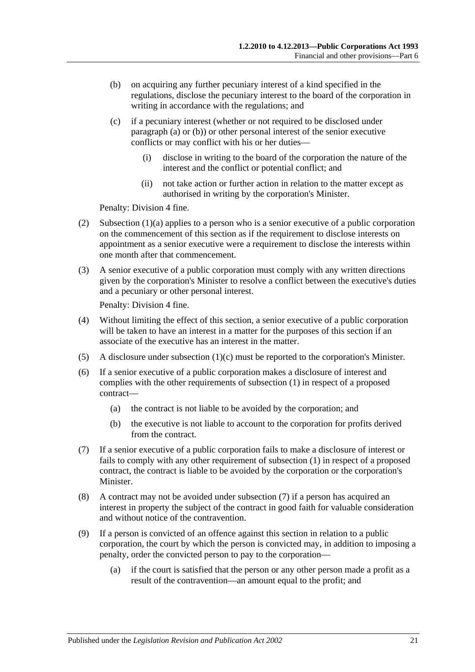- <span id="page-20-0"></span>(b) on acquiring any further pecuniary interest of a kind specified in the regulations, disclose the pecuniary interest to the board of the corporation in writing in accordance with the regulations; and
- <span id="page-20-1"></span>(c) if a pecuniary interest (whether or not required to be disclosed under [paragraph](#page-19-3) (a) or [\(b\)\)](#page-20-0) or other personal interest of the senior executive conflicts or may conflict with his or her duties—
	- (i) disclose in writing to the board of the corporation the nature of the interest and the conflict or potential conflict; and
	- (ii) not take action or further action in relation to the matter except as authorised in writing by the corporation's Minister.

Penalty: Division 4 fine.

- (2) [Subsection](#page-19-3)  $(1)(a)$  applies to a person who is a senior executive of a public corporation on the commencement of this section as if the requirement to disclose interests on appointment as a senior executive were a requirement to disclose the interests within one month after that commencement.
- (3) A senior executive of a public corporation must comply with any written directions given by the corporation's Minister to resolve a conflict between the executive's duties and a pecuniary or other personal interest.

Penalty: Division 4 fine.

- (4) Without limiting the effect of this section, a senior executive of a public corporation will be taken to have an interest in a matter for the purposes of this section if an associate of the executive has an interest in the matter.
- (5) A disclosure under [subsection](#page-20-1) (1)(c) must be reported to the corporation's Minister.
- (6) If a senior executive of a public corporation makes a disclosure of interest and complies with the other requirements of [subsection](#page-19-4) (1) in respect of a proposed contract—
	- (a) the contract is not liable to be avoided by the corporation; and
	- (b) the executive is not liable to account to the corporation for profits derived from the contract.
- <span id="page-20-2"></span>(7) If a senior executive of a public corporation fails to make a disclosure of interest or fails to comply with any other requirement of [subsection](#page-19-4) (1) in respect of a proposed contract, the contract is liable to be avoided by the corporation or the corporation's Minister.
- (8) A contract may not be avoided under [subsection](#page-20-2) (7) if a person has acquired an interest in property the subject of the contract in good faith for valuable consideration and without notice of the contravention.
- (9) If a person is convicted of an offence against this section in relation to a public corporation, the court by which the person is convicted may, in addition to imposing a penalty, order the convicted person to pay to the corporation—
	- (a) if the court is satisfied that the person or any other person made a profit as a result of the contravention—an amount equal to the profit; and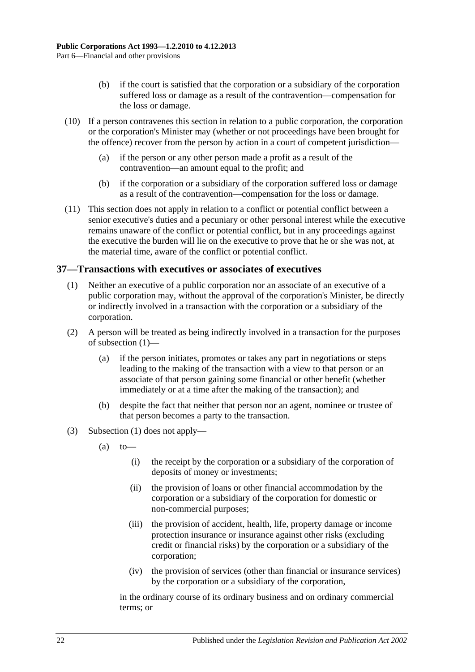- (b) if the court is satisfied that the corporation or a subsidiary of the corporation suffered loss or damage as a result of the contravention—compensation for the loss or damage.
- (10) If a person contravenes this section in relation to a public corporation, the corporation or the corporation's Minister may (whether or not proceedings have been brought for the offence) recover from the person by action in a court of competent jurisdiction—
	- (a) if the person or any other person made a profit as a result of the contravention—an amount equal to the profit; and
	- (b) if the corporation or a subsidiary of the corporation suffered loss or damage as a result of the contravention—compensation for the loss or damage.
- (11) This section does not apply in relation to a conflict or potential conflict between a senior executive's duties and a pecuniary or other personal interest while the executive remains unaware of the conflict or potential conflict, but in any proceedings against the executive the burden will lie on the executive to prove that he or she was not, at the material time, aware of the conflict or potential conflict.

#### <span id="page-21-1"></span><span id="page-21-0"></span>**37—Transactions with executives or associates of executives**

- (1) Neither an executive of a public corporation nor an associate of an executive of a public corporation may, without the approval of the corporation's Minister, be directly or indirectly involved in a transaction with the corporation or a subsidiary of the corporation.
- (2) A person will be treated as being indirectly involved in a transaction for the purposes of [subsection](#page-21-1) (1)—
	- (a) if the person initiates, promotes or takes any part in negotiations or steps leading to the making of the transaction with a view to that person or an associate of that person gaining some financial or other benefit (whether immediately or at a time after the making of the transaction); and
	- (b) despite the fact that neither that person nor an agent, nominee or trustee of that person becomes a party to the transaction.
- (3) [Subsection](#page-21-1) (1) does not apply—
	- $(a)$  to
		- (i) the receipt by the corporation or a subsidiary of the corporation of deposits of money or investments;
		- (ii) the provision of loans or other financial accommodation by the corporation or a subsidiary of the corporation for domestic or non-commercial purposes;
		- (iii) the provision of accident, health, life, property damage or income protection insurance or insurance against other risks (excluding credit or financial risks) by the corporation or a subsidiary of the corporation;
		- (iv) the provision of services (other than financial or insurance services) by the corporation or a subsidiary of the corporation,

in the ordinary course of its ordinary business and on ordinary commercial terms; or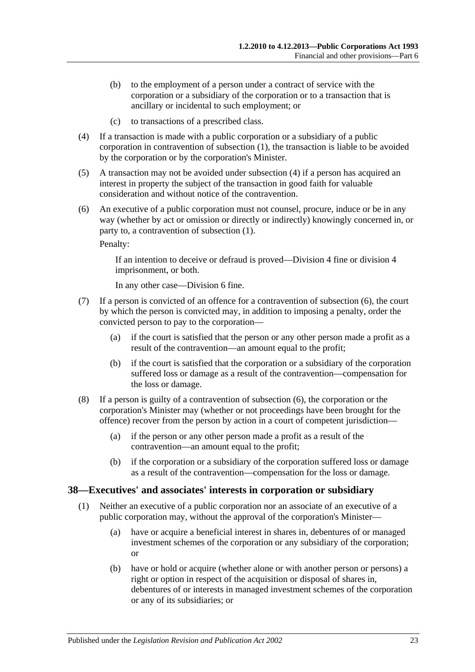- (b) to the employment of a person under a contract of service with the corporation or a subsidiary of the corporation or to a transaction that is ancillary or incidental to such employment; or
- (c) to transactions of a prescribed class.
- <span id="page-22-1"></span>(4) If a transaction is made with a public corporation or a subsidiary of a public corporation in contravention of [subsection](#page-21-1) (1), the transaction is liable to be avoided by the corporation or by the corporation's Minister.
- (5) A transaction may not be avoided under [subsection](#page-22-1) (4) if a person has acquired an interest in property the subject of the transaction in good faith for valuable consideration and without notice of the contravention.
- <span id="page-22-2"></span>(6) An executive of a public corporation must not counsel, procure, induce or be in any way (whether by act or omission or directly or indirectly) knowingly concerned in, or party to, a contravention of [subsection](#page-21-1) (1).

Penalty:

If an intention to deceive or defraud is proved—Division 4 fine or division 4 imprisonment, or both.

In any other case—Division 6 fine.

- (7) If a person is convicted of an offence for a contravention of [subsection](#page-22-2) (6), the court by which the person is convicted may, in addition to imposing a penalty, order the convicted person to pay to the corporation—
	- (a) if the court is satisfied that the person or any other person made a profit as a result of the contravention—an amount equal to the profit;
	- (b) if the court is satisfied that the corporation or a subsidiary of the corporation suffered loss or damage as a result of the contravention—compensation for the loss or damage.
- (8) If a person is guilty of a contravention of [subsection](#page-22-2) (6), the corporation or the corporation's Minister may (whether or not proceedings have been brought for the offence) recover from the person by action in a court of competent jurisdiction—
	- (a) if the person or any other person made a profit as a result of the contravention—an amount equal to the profit;
	- (b) if the corporation or a subsidiary of the corporation suffered loss or damage as a result of the contravention—compensation for the loss or damage.

#### <span id="page-22-3"></span><span id="page-22-0"></span>**38—Executives' and associates' interests in corporation or subsidiary**

- (1) Neither an executive of a public corporation nor an associate of an executive of a public corporation may, without the approval of the corporation's Minister—
	- (a) have or acquire a beneficial interest in shares in, debentures of or managed investment schemes of the corporation or any subsidiary of the corporation; or
	- (b) have or hold or acquire (whether alone or with another person or persons) a right or option in respect of the acquisition or disposal of shares in, debentures of or interests in managed investment schemes of the corporation or any of its subsidiaries; or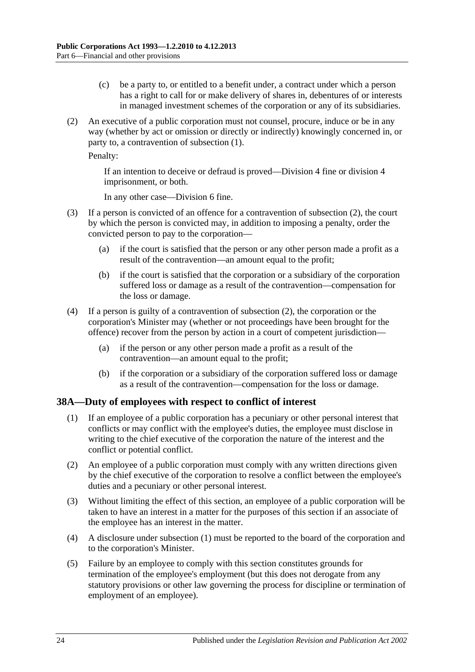- (c) be a party to, or entitled to a benefit under, a contract under which a person has a right to call for or make delivery of shares in, debentures of or interests in managed investment schemes of the corporation or any of its subsidiaries.
- <span id="page-23-1"></span>(2) An executive of a public corporation must not counsel, procure, induce or be in any way (whether by act or omission or directly or indirectly) knowingly concerned in, or party to, a contravention of [subsection](#page-22-3) (1).

Penalty:

If an intention to deceive or defraud is proved—Division 4 fine or division 4 imprisonment, or both.

In any other case—Division 6 fine.

- (3) If a person is convicted of an offence for a contravention of [subsection](#page-23-1) (2), the court by which the person is convicted may, in addition to imposing a penalty, order the convicted person to pay to the corporation—
	- (a) if the court is satisfied that the person or any other person made a profit as a result of the contravention—an amount equal to the profit;
	- (b) if the court is satisfied that the corporation or a subsidiary of the corporation suffered loss or damage as a result of the contravention—compensation for the loss or damage.
- (4) If a person is guilty of a contravention of [subsection](#page-23-1) (2), the corporation or the corporation's Minister may (whether or not proceedings have been brought for the offence) recover from the person by action in a court of competent jurisdiction—
	- (a) if the person or any other person made a profit as a result of the contravention—an amount equal to the profit;
	- (b) if the corporation or a subsidiary of the corporation suffered loss or damage as a result of the contravention—compensation for the loss or damage.

#### <span id="page-23-2"></span><span id="page-23-0"></span>**38A—Duty of employees with respect to conflict of interest**

- (1) If an employee of a public corporation has a pecuniary or other personal interest that conflicts or may conflict with the employee's duties, the employee must disclose in writing to the chief executive of the corporation the nature of the interest and the conflict or potential conflict.
- (2) An employee of a public corporation must comply with any written directions given by the chief executive of the corporation to resolve a conflict between the employee's duties and a pecuniary or other personal interest.
- (3) Without limiting the effect of this section, an employee of a public corporation will be taken to have an interest in a matter for the purposes of this section if an associate of the employee has an interest in the matter.
- (4) A disclosure under [subsection](#page-23-2) (1) must be reported to the board of the corporation and to the corporation's Minister.
- (5) Failure by an employee to comply with this section constitutes grounds for termination of the employee's employment (but this does not derogate from any statutory provisions or other law governing the process for discipline or termination of employment of an employee).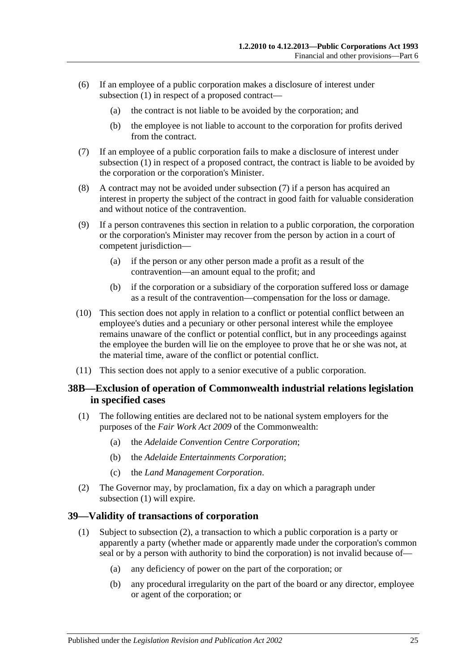- (6) If an employee of a public corporation makes a disclosure of interest under [subsection](#page-23-2) (1) in respect of a proposed contract—
	- (a) the contract is not liable to be avoided by the corporation; and
	- (b) the employee is not liable to account to the corporation for profits derived from the contract.
- <span id="page-24-2"></span>(7) If an employee of a public corporation fails to make a disclosure of interest under [subsection](#page-23-2) (1) in respect of a proposed contract, the contract is liable to be avoided by the corporation or the corporation's Minister.
- (8) A contract may not be avoided under [subsection](#page-24-2) (7) if a person has acquired an interest in property the subject of the contract in good faith for valuable consideration and without notice of the contravention.
- (9) If a person contravenes this section in relation to a public corporation, the corporation or the corporation's Minister may recover from the person by action in a court of competent jurisdiction—
	- (a) if the person or any other person made a profit as a result of the contravention—an amount equal to the profit; and
	- (b) if the corporation or a subsidiary of the corporation suffered loss or damage as a result of the contravention—compensation for the loss or damage.
- (10) This section does not apply in relation to a conflict or potential conflict between an employee's duties and a pecuniary or other personal interest while the employee remains unaware of the conflict or potential conflict, but in any proceedings against the employee the burden will lie on the employee to prove that he or she was not, at the material time, aware of the conflict or potential conflict.
- (11) This section does not apply to a senior executive of a public corporation.

#### <span id="page-24-0"></span>**38B—Exclusion of operation of Commonwealth industrial relations legislation in specified cases**

- <span id="page-24-3"></span>(1) The following entities are declared not to be national system employers for the purposes of the *Fair Work Act 2009* of the Commonwealth:
	- (a) the *Adelaide Convention Centre Corporation*;
	- (b) the *Adelaide Entertainments Corporation*;
	- (c) the *Land Management Corporation*.
- (2) The Governor may, by proclamation, fix a day on which a paragraph under [subsection](#page-24-3) (1) will expire.

#### <span id="page-24-1"></span>**39—Validity of transactions of corporation**

- (1) Subject to [subsection](#page-25-1) (2), a transaction to which a public corporation is a party or apparently a party (whether made or apparently made under the corporation's common seal or by a person with authority to bind the corporation) is not invalid because of—
	- (a) any deficiency of power on the part of the corporation; or
	- (b) any procedural irregularity on the part of the board or any director, employee or agent of the corporation; or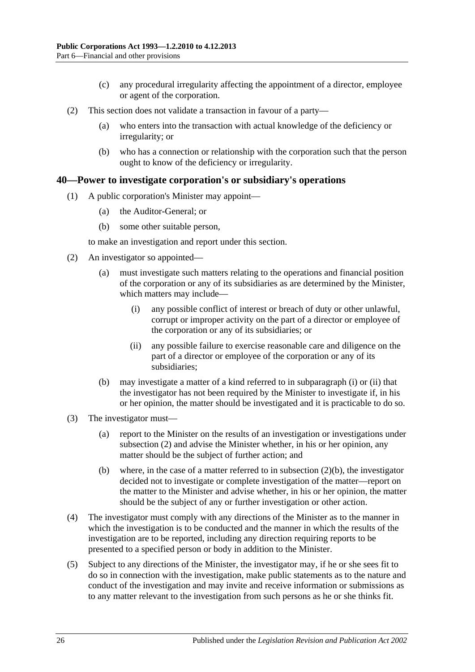- (c) any procedural irregularity affecting the appointment of a director, employee or agent of the corporation.
- <span id="page-25-1"></span>(2) This section does not validate a transaction in favour of a party—
	- (a) who enters into the transaction with actual knowledge of the deficiency or irregularity; or
	- (b) who has a connection or relationship with the corporation such that the person ought to know of the deficiency or irregularity.

#### <span id="page-25-0"></span>**40—Power to investigate corporation's or subsidiary's operations**

- (1) A public corporation's Minister may appoint—
	- (a) the Auditor-General; or
	- (b) some other suitable person,

to make an investigation and report under this section.

- <span id="page-25-4"></span><span id="page-25-2"></span>(2) An investigator so appointed—
	- (a) must investigate such matters relating to the operations and financial position of the corporation or any of its subsidiaries as are determined by the Minister, which matters may include—
		- (i) any possible conflict of interest or breach of duty or other unlawful, corrupt or improper activity on the part of a director or employee of the corporation or any of its subsidiaries; or
		- (ii) any possible failure to exercise reasonable care and diligence on the part of a director or employee of the corporation or any of its subsidiaries;
	- (b) may investigate a matter of a kind referred to in [subparagraph](#page-25-2) (i) or [\(ii\)](#page-25-3) that the investigator has not been required by the Minister to investigate if, in his or her opinion, the matter should be investigated and it is practicable to do so.
- <span id="page-25-5"></span><span id="page-25-3"></span>(3) The investigator must—
	- (a) report to the Minister on the results of an investigation or investigations under [subsection](#page-25-4) (2) and advise the Minister whether, in his or her opinion, any matter should be the subject of further action; and
	- (b) where, in the case of a matter referred to in [subsection](#page-25-5)  $(2)(b)$ , the investigator decided not to investigate or complete investigation of the matter—report on the matter to the Minister and advise whether, in his or her opinion, the matter should be the subject of any or further investigation or other action.
- (4) The investigator must comply with any directions of the Minister as to the manner in which the investigation is to be conducted and the manner in which the results of the investigation are to be reported, including any direction requiring reports to be presented to a specified person or body in addition to the Minister.
- (5) Subject to any directions of the Minister, the investigator may, if he or she sees fit to do so in connection with the investigation, make public statements as to the nature and conduct of the investigation and may invite and receive information or submissions as to any matter relevant to the investigation from such persons as he or she thinks fit.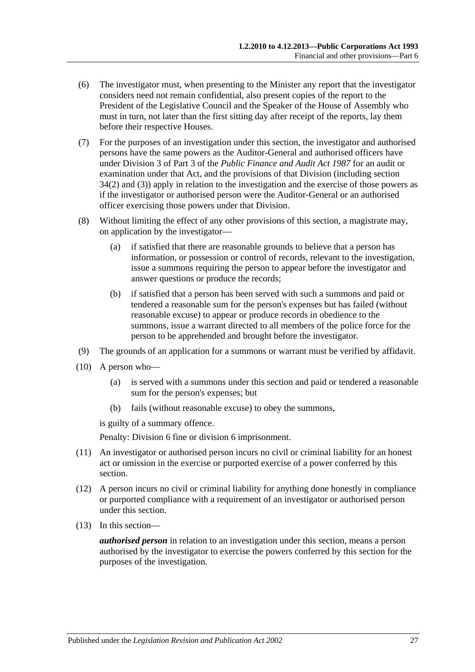- (6) The investigator must, when presenting to the Minister any report that the investigator considers need not remain confidential, also present copies of the report to the President of the Legislative Council and the Speaker of the House of Assembly who must in turn, not later than the first sitting day after receipt of the reports, lay them before their respective Houses.
- (7) For the purposes of an investigation under this section, the investigator and authorised persons have the same powers as the Auditor-General and authorised officers have under Division 3 of Part 3 of the *[Public Finance and Audit Act](http://www.legislation.sa.gov.au/index.aspx?action=legref&type=act&legtitle=Public%20Finance%20and%20Audit%20Act%201987) 1987* for an audit or examination under that Act, and the provisions of that Division (including section 34(2) and (3)) apply in relation to the investigation and the exercise of those powers as if the investigator or authorised person were the Auditor-General or an authorised officer exercising those powers under that Division.
- (8) Without limiting the effect of any other provisions of this section, a magistrate may, on application by the investigator—
	- (a) if satisfied that there are reasonable grounds to believe that a person has information, or possession or control of records, relevant to the investigation, issue a summons requiring the person to appear before the investigator and answer questions or produce the records;
	- (b) if satisfied that a person has been served with such a summons and paid or tendered a reasonable sum for the person's expenses but has failed (without reasonable excuse) to appear or produce records in obedience to the summons, issue a warrant directed to all members of the police force for the person to be apprehended and brought before the investigator.
- (9) The grounds of an application for a summons or warrant must be verified by affidavit.
- (10) A person who—
	- (a) is served with a summons under this section and paid or tendered a reasonable sum for the person's expenses; but
	- (b) fails (without reasonable excuse) to obey the summons,

is guilty of a summary offence.

Penalty: Division 6 fine or division 6 imprisonment.

- (11) An investigator or authorised person incurs no civil or criminal liability for an honest act or omission in the exercise or purported exercise of a power conferred by this section.
- (12) A person incurs no civil or criminal liability for anything done honestly in compliance or purported compliance with a requirement of an investigator or authorised person under this section.
- (13) In this section—

*authorised person* in relation to an investigation under this section, means a person authorised by the investigator to exercise the powers conferred by this section for the purposes of the investigation.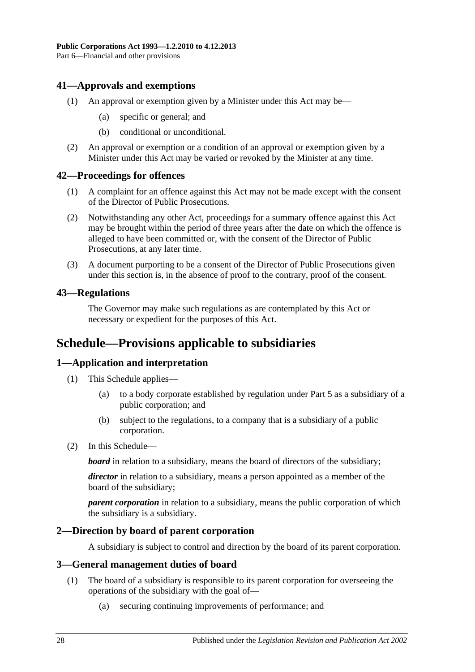#### <span id="page-27-0"></span>**41—Approvals and exemptions**

- (1) An approval or exemption given by a Minister under this Act may be—
	- (a) specific or general; and
	- (b) conditional or unconditional.
- (2) An approval or exemption or a condition of an approval or exemption given by a Minister under this Act may be varied or revoked by the Minister at any time.

#### <span id="page-27-1"></span>**42—Proceedings for offences**

- (1) A complaint for an offence against this Act may not be made except with the consent of the Director of Public Prosecutions.
- (2) Notwithstanding any other Act, proceedings for a summary offence against this Act may be brought within the period of three years after the date on which the offence is alleged to have been committed or, with the consent of the Director of Public Prosecutions, at any later time.
- (3) A document purporting to be a consent of the Director of Public Prosecutions given under this section is, in the absence of proof to the contrary, proof of the consent.

#### <span id="page-27-2"></span>**43—Regulations**

The Governor may make such regulations as are contemplated by this Act or necessary or expedient for the purposes of this Act.

### <span id="page-27-3"></span>**Schedule—Provisions applicable to subsidiaries**

#### <span id="page-27-4"></span>**1—Application and interpretation**

- (1) This Schedule applies—
	- (a) to a body corporate established by regulation under [Part 5](#page-13-3) as a subsidiary of a public corporation; and
	- (b) subject to the regulations, to a company that is a subsidiary of a public corporation.
- (2) In this Schedule—

*board* in relation to a subsidiary, means the board of directors of the subsidiary;

*director* in relation to a subsidiary, means a person appointed as a member of the board of the subsidiary;

*parent corporation* in relation to a subsidiary, means the public corporation of which the subsidiary is a subsidiary.

#### <span id="page-27-5"></span>**2—Direction by board of parent corporation**

A subsidiary is subject to control and direction by the board of its parent corporation.

#### <span id="page-27-7"></span><span id="page-27-6"></span>**3—General management duties of board**

- (1) The board of a subsidiary is responsible to its parent corporation for overseeing the operations of the subsidiary with the goal of—
	- (a) securing continuing improvements of performance; and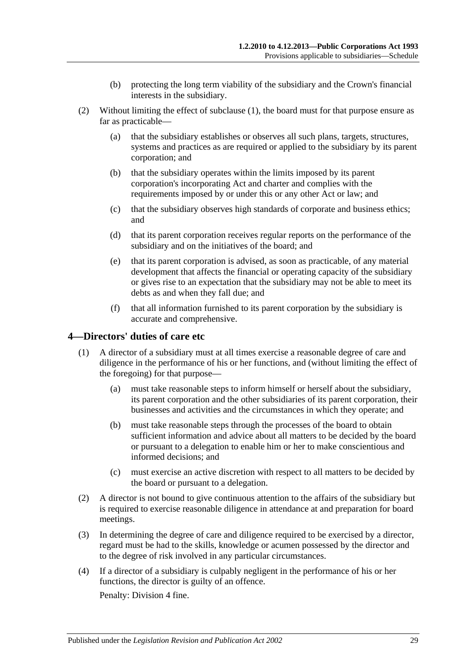- (b) protecting the long term viability of the subsidiary and the Crown's financial interests in the subsidiary.
- (2) Without limiting the effect of [subclause](#page-27-7) (1), the board must for that purpose ensure as far as practicable—
	- (a) that the subsidiary establishes or observes all such plans, targets, structures, systems and practices as are required or applied to the subsidiary by its parent corporation; and
	- (b) that the subsidiary operates within the limits imposed by its parent corporation's incorporating Act and charter and complies with the requirements imposed by or under this or any other Act or law; and
	- (c) that the subsidiary observes high standards of corporate and business ethics; and
	- (d) that its parent corporation receives regular reports on the performance of the subsidiary and on the initiatives of the board; and
	- (e) that its parent corporation is advised, as soon as practicable, of any material development that affects the financial or operating capacity of the subsidiary or gives rise to an expectation that the subsidiary may not be able to meet its debts as and when they fall due; and
	- (f) that all information furnished to its parent corporation by the subsidiary is accurate and comprehensive.

#### <span id="page-28-0"></span>**4—Directors' duties of care etc**

- (1) A director of a subsidiary must at all times exercise a reasonable degree of care and diligence in the performance of his or her functions, and (without limiting the effect of the foregoing) for that purpose—
	- (a) must take reasonable steps to inform himself or herself about the subsidiary, its parent corporation and the other subsidiaries of its parent corporation, their businesses and activities and the circumstances in which they operate; and
	- (b) must take reasonable steps through the processes of the board to obtain sufficient information and advice about all matters to be decided by the board or pursuant to a delegation to enable him or her to make conscientious and informed decisions; and
	- (c) must exercise an active discretion with respect to all matters to be decided by the board or pursuant to a delegation.
- (2) A director is not bound to give continuous attention to the affairs of the subsidiary but is required to exercise reasonable diligence in attendance at and preparation for board meetings.
- (3) In determining the degree of care and diligence required to be exercised by a director, regard must be had to the skills, knowledge or acumen possessed by the director and to the degree of risk involved in any particular circumstances.
- (4) If a director of a subsidiary is culpably negligent in the performance of his or her functions, the director is guilty of an offence.

Penalty: Division 4 fine.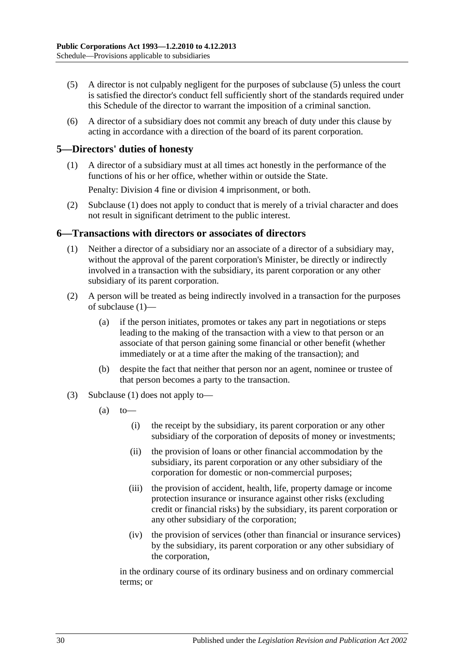- (5) A director is not culpably negligent for the purposes of subclause (5) unless the court is satisfied the director's conduct fell sufficiently short of the standards required under this Schedule of the director to warrant the imposition of a criminal sanction.
- (6) A director of a subsidiary does not commit any breach of duty under this clause by acting in accordance with a direction of the board of its parent corporation.

#### <span id="page-29-2"></span><span id="page-29-0"></span>**5—Directors' duties of honesty**

(1) A director of a subsidiary must at all times act honestly in the performance of the functions of his or her office, whether within or outside the State.

Penalty: Division 4 fine or division 4 imprisonment, or both.

(2) [Subclause](#page-29-2) (1) does not apply to conduct that is merely of a trivial character and does not result in significant detriment to the public interest.

#### <span id="page-29-3"></span><span id="page-29-1"></span>**6—Transactions with directors or associates of directors**

- (1) Neither a director of a subsidiary nor an associate of a director of a subsidiary may, without the approval of the parent corporation's Minister, be directly or indirectly involved in a transaction with the subsidiary, its parent corporation or any other subsidiary of its parent corporation.
- (2) A person will be treated as being indirectly involved in a transaction for the purposes of [subclause](#page-29-3) (1)—
	- (a) if the person initiates, promotes or takes any part in negotiations or steps leading to the making of the transaction with a view to that person or an associate of that person gaining some financial or other benefit (whether immediately or at a time after the making of the transaction); and
	- (b) despite the fact that neither that person nor an agent, nominee or trustee of that person becomes a party to the transaction.
- (3) [Subclause](#page-29-3) (1) does not apply to—
	- $(a)$  to
		- (i) the receipt by the subsidiary, its parent corporation or any other subsidiary of the corporation of deposits of money or investments;
		- (ii) the provision of loans or other financial accommodation by the subsidiary, its parent corporation or any other subsidiary of the corporation for domestic or non-commercial purposes;
		- (iii) the provision of accident, health, life, property damage or income protection insurance or insurance against other risks (excluding credit or financial risks) by the subsidiary, its parent corporation or any other subsidiary of the corporation;
		- (iv) the provision of services (other than financial or insurance services) by the subsidiary, its parent corporation or any other subsidiary of the corporation,

in the ordinary course of its ordinary business and on ordinary commercial terms; or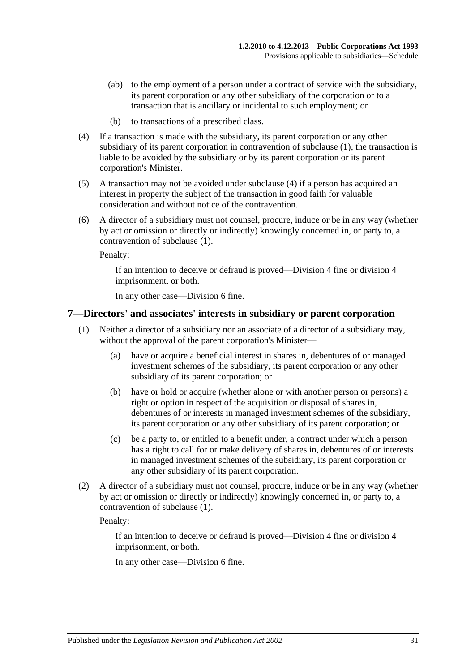- (ab) to the employment of a person under a contract of service with the subsidiary, its parent corporation or any other subsidiary of the corporation or to a transaction that is ancillary or incidental to such employment; or
- (b) to transactions of a prescribed class.
- <span id="page-30-1"></span>(4) If a transaction is made with the subsidiary, its parent corporation or any other subsidiary of its parent corporation in contravention of [subclause](#page-29-3) (1), the transaction is liable to be avoided by the subsidiary or by its parent corporation or its parent corporation's Minister.
- (5) A transaction may not be avoided under [subclause](#page-30-1) (4) if a person has acquired an interest in property the subject of the transaction in good faith for valuable consideration and without notice of the contravention.
- (6) A director of a subsidiary must not counsel, procure, induce or be in any way (whether by act or omission or directly or indirectly) knowingly concerned in, or party to, a contravention of [subclause](#page-29-3) (1).

Penalty:

If an intention to deceive or defraud is proved—Division 4 fine or division 4 imprisonment, or both.

In any other case—Division 6 fine.

#### <span id="page-30-2"></span><span id="page-30-0"></span>**7—Directors' and associates' interests in subsidiary or parent corporation**

- (1) Neither a director of a subsidiary nor an associate of a director of a subsidiary may, without the approval of the parent corporation's Minister—
	- (a) have or acquire a beneficial interest in shares in, debentures of or managed investment schemes of the subsidiary, its parent corporation or any other subsidiary of its parent corporation; or
	- (b) have or hold or acquire (whether alone or with another person or persons) a right or option in respect of the acquisition or disposal of shares in, debentures of or interests in managed investment schemes of the subsidiary, its parent corporation or any other subsidiary of its parent corporation; or
	- (c) be a party to, or entitled to a benefit under, a contract under which a person has a right to call for or make delivery of shares in, debentures of or interests in managed investment schemes of the subsidiary, its parent corporation or any other subsidiary of its parent corporation.
- (2) A director of a subsidiary must not counsel, procure, induce or be in any way (whether by act or omission or directly or indirectly) knowingly concerned in, or party to, a contravention of [subclause](#page-30-2) (1).

Penalty:

If an intention to deceive or defraud is proved—Division 4 fine or division 4 imprisonment, or both.

In any other case—Division 6 fine.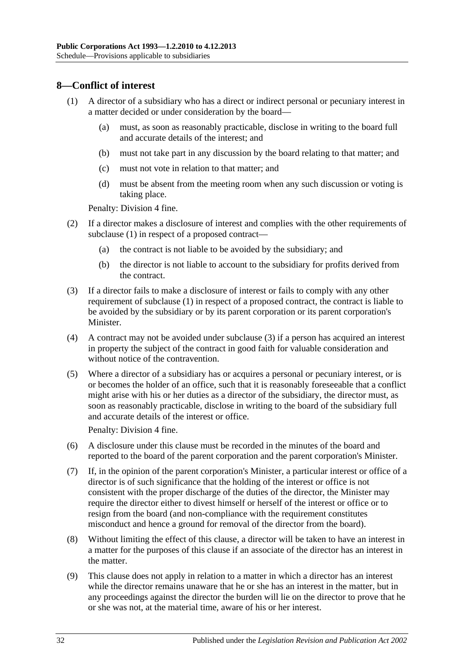#### <span id="page-31-1"></span><span id="page-31-0"></span>**8—Conflict of interest**

- (1) A director of a subsidiary who has a direct or indirect personal or pecuniary interest in a matter decided or under consideration by the board—
	- (a) must, as soon as reasonably practicable, disclose in writing to the board full and accurate details of the interest; and
	- (b) must not take part in any discussion by the board relating to that matter; and
	- (c) must not vote in relation to that matter; and
	- (d) must be absent from the meeting room when any such discussion or voting is taking place.

Penalty: Division 4 fine.

- (2) If a director makes a disclosure of interest and complies with the other requirements of [subclause](#page-31-1) (1) in respect of a proposed contract—
	- (a) the contract is not liable to be avoided by the subsidiary; and
	- (b) the director is not liable to account to the subsidiary for profits derived from the contract.
- <span id="page-31-2"></span>(3) If a director fails to make a disclosure of interest or fails to comply with any other requirement of [subclause](#page-31-1) (1) in respect of a proposed contract, the contract is liable to be avoided by the subsidiary or by its parent corporation or its parent corporation's Minister.
- (4) A contract may not be avoided under [subclause](#page-31-2) (3) if a person has acquired an interest in property the subject of the contract in good faith for valuable consideration and without notice of the contravention.
- (5) Where a director of a subsidiary has or acquires a personal or pecuniary interest, or is or becomes the holder of an office, such that it is reasonably foreseeable that a conflict might arise with his or her duties as a director of the subsidiary, the director must, as soon as reasonably practicable, disclose in writing to the board of the subsidiary full and accurate details of the interest or office.

Penalty: Division 4 fine.

- (6) A disclosure under this clause must be recorded in the minutes of the board and reported to the board of the parent corporation and the parent corporation's Minister.
- (7) If, in the opinion of the parent corporation's Minister, a particular interest or office of a director is of such significance that the holding of the interest or office is not consistent with the proper discharge of the duties of the director, the Minister may require the director either to divest himself or herself of the interest or office or to resign from the board (and non-compliance with the requirement constitutes misconduct and hence a ground for removal of the director from the board).
- (8) Without limiting the effect of this clause, a director will be taken to have an interest in a matter for the purposes of this clause if an associate of the director has an interest in the matter.
- (9) This clause does not apply in relation to a matter in which a director has an interest while the director remains unaware that he or she has an interest in the matter, but in any proceedings against the director the burden will lie on the director to prove that he or she was not, at the material time, aware of his or her interest.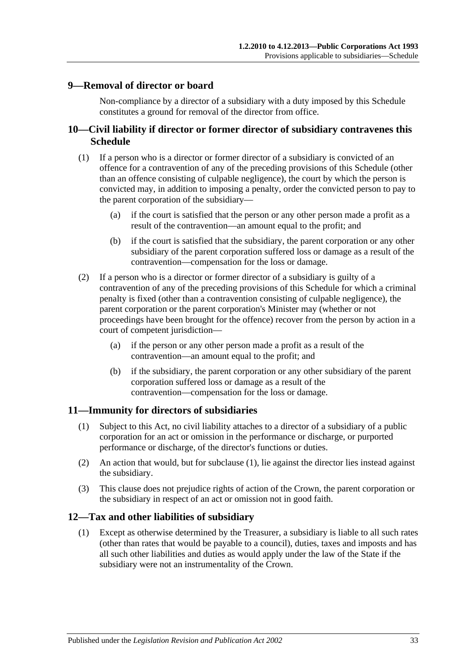#### <span id="page-32-0"></span>**9—Removal of director or board**

Non-compliance by a director of a subsidiary with a duty imposed by this Schedule constitutes a ground for removal of the director from office.

#### <span id="page-32-1"></span>**10—Civil liability if director or former director of subsidiary contravenes this Schedule**

- (1) If a person who is a director or former director of a subsidiary is convicted of an offence for a contravention of any of the preceding provisions of this Schedule (other than an offence consisting of culpable negligence), the court by which the person is convicted may, in addition to imposing a penalty, order the convicted person to pay to the parent corporation of the subsidiary—
	- (a) if the court is satisfied that the person or any other person made a profit as a result of the contravention—an amount equal to the profit; and
	- (b) if the court is satisfied that the subsidiary, the parent corporation or any other subsidiary of the parent corporation suffered loss or damage as a result of the contravention—compensation for the loss or damage.
- (2) If a person who is a director or former director of a subsidiary is guilty of a contravention of any of the preceding provisions of this Schedule for which a criminal penalty is fixed (other than a contravention consisting of culpable negligence), the parent corporation or the parent corporation's Minister may (whether or not proceedings have been brought for the offence) recover from the person by action in a court of competent jurisdiction—
	- (a) if the person or any other person made a profit as a result of the contravention—an amount equal to the profit; and
	- (b) if the subsidiary, the parent corporation or any other subsidiary of the parent corporation suffered loss or damage as a result of the contravention—compensation for the loss or damage.

#### <span id="page-32-4"></span><span id="page-32-2"></span>**11—Immunity for directors of subsidiaries**

- (1) Subject to this Act, no civil liability attaches to a director of a subsidiary of a public corporation for an act or omission in the performance or discharge, or purported performance or discharge, of the director's functions or duties.
- (2) An action that would, but for [subclause](#page-32-4) (1), lie against the director lies instead against the subsidiary.
- (3) This clause does not prejudice rights of action of the Crown, the parent corporation or the subsidiary in respect of an act or omission not in good faith.

#### <span id="page-32-3"></span>**12—Tax and other liabilities of subsidiary**

(1) Except as otherwise determined by the Treasurer, a subsidiary is liable to all such rates (other than rates that would be payable to a council), duties, taxes and imposts and has all such other liabilities and duties as would apply under the law of the State if the subsidiary were not an instrumentality of the Crown.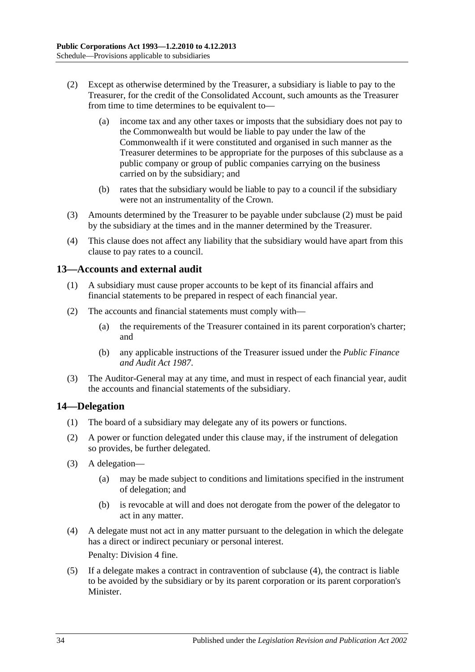- <span id="page-33-2"></span>(2) Except as otherwise determined by the Treasurer, a subsidiary is liable to pay to the Treasurer, for the credit of the Consolidated Account, such amounts as the Treasurer from time to time determines to be equivalent to—
	- (a) income tax and any other taxes or imposts that the subsidiary does not pay to the Commonwealth but would be liable to pay under the law of the Commonwealth if it were constituted and organised in such manner as the Treasurer determines to be appropriate for the purposes of this subclause as a public company or group of public companies carrying on the business carried on by the subsidiary; and
	- (b) rates that the subsidiary would be liable to pay to a council if the subsidiary were not an instrumentality of the Crown.
- (3) Amounts determined by the Treasurer to be payable under [subclause](#page-33-2) (2) must be paid by the subsidiary at the times and in the manner determined by the Treasurer.
- (4) This clause does not affect any liability that the subsidiary would have apart from this clause to pay rates to a council.

#### <span id="page-33-0"></span>**13—Accounts and external audit**

- (1) A subsidiary must cause proper accounts to be kept of its financial affairs and financial statements to be prepared in respect of each financial year.
- (2) The accounts and financial statements must comply with—
	- (a) the requirements of the Treasurer contained in its parent corporation's charter; and
	- (b) any applicable instructions of the Treasurer issued under the *[Public Finance](http://www.legislation.sa.gov.au/index.aspx?action=legref&type=act&legtitle=Public%20Finance%20and%20Audit%20Act%201987)  [and Audit Act](http://www.legislation.sa.gov.au/index.aspx?action=legref&type=act&legtitle=Public%20Finance%20and%20Audit%20Act%201987) 1987*.
- (3) The Auditor-General may at any time, and must in respect of each financial year, audit the accounts and financial statements of the subsidiary.

#### <span id="page-33-1"></span>**14—Delegation**

- (1) The board of a subsidiary may delegate any of its powers or functions.
- (2) A power or function delegated under this clause may, if the instrument of delegation so provides, be further delegated.
- (3) A delegation—
	- (a) may be made subject to conditions and limitations specified in the instrument of delegation; and
	- (b) is revocable at will and does not derogate from the power of the delegator to act in any matter.
- <span id="page-33-3"></span>(4) A delegate must not act in any matter pursuant to the delegation in which the delegate has a direct or indirect pecuniary or personal interest. Penalty: Division 4 fine.
- <span id="page-33-4"></span>(5) If a delegate makes a contract in contravention of [subclause](#page-33-3) (4), the contract is liable to be avoided by the subsidiary or by its parent corporation or its parent corporation's Minister.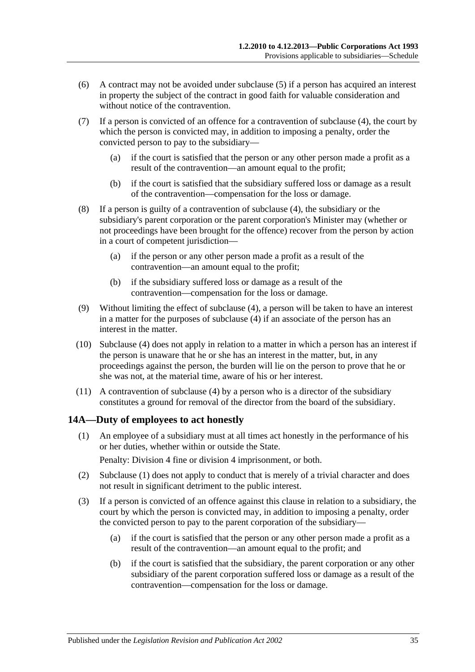- (6) A contract may not be avoided under [subclause](#page-33-4) (5) if a person has acquired an interest in property the subject of the contract in good faith for valuable consideration and without notice of the contravention.
- (7) If a person is convicted of an offence for a contravention of [subclause](#page-33-3) (4), the court by which the person is convicted may, in addition to imposing a penalty, order the convicted person to pay to the subsidiary—
	- (a) if the court is satisfied that the person or any other person made a profit as a result of the contravention—an amount equal to the profit;
	- (b) if the court is satisfied that the subsidiary suffered loss or damage as a result of the contravention—compensation for the loss or damage.
- (8) If a person is guilty of a contravention of [subclause](#page-33-3) (4), the subsidiary or the subsidiary's parent corporation or the parent corporation's Minister may (whether or not proceedings have been brought for the offence) recover from the person by action in a court of competent jurisdiction—
	- (a) if the person or any other person made a profit as a result of the contravention—an amount equal to the profit;
	- (b) if the subsidiary suffered loss or damage as a result of the contravention—compensation for the loss or damage.
- (9) Without limiting the effect of [subclause](#page-33-3) (4), a person will be taken to have an interest in a matter for the purposes of [subclause](#page-33-3) (4) if an associate of the person has an interest in the matter.
- (10) [Subclause](#page-33-3) (4) does not apply in relation to a matter in which a person has an interest if the person is unaware that he or she has an interest in the matter, but, in any proceedings against the person, the burden will lie on the person to prove that he or she was not, at the material time, aware of his or her interest.
- (11) A contravention of [subclause](#page-33-3) (4) by a person who is a director of the subsidiary constitutes a ground for removal of the director from the board of the subsidiary.

#### <span id="page-34-1"></span><span id="page-34-0"></span>**14A—Duty of employees to act honestly**

(1) An employee of a subsidiary must at all times act honestly in the performance of his or her duties, whether within or outside the State.

Penalty: Division 4 fine or division 4 imprisonment, or both.

- (2) [Subclause](#page-34-1) (1) does not apply to conduct that is merely of a trivial character and does not result in significant detriment to the public interest.
- (3) If a person is convicted of an offence against this clause in relation to a subsidiary, the court by which the person is convicted may, in addition to imposing a penalty, order the convicted person to pay to the parent corporation of the subsidiary—
	- (a) if the court is satisfied that the person or any other person made a profit as a result of the contravention—an amount equal to the profit; and
	- (b) if the court is satisfied that the subsidiary, the parent corporation or any other subsidiary of the parent corporation suffered loss or damage as a result of the contravention—compensation for the loss or damage.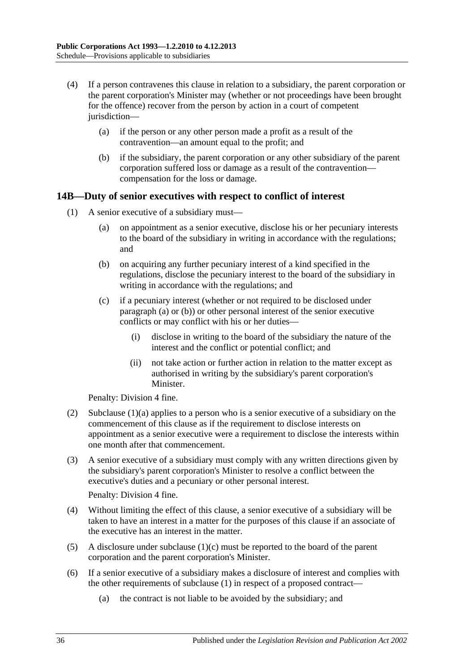- (4) If a person contravenes this clause in relation to a subsidiary, the parent corporation or the parent corporation's Minister may (whether or not proceedings have been brought for the offence) recover from the person by action in a court of competent jurisdiction—
	- (a) if the person or any other person made a profit as a result of the contravention—an amount equal to the profit; and
	- (b) if the subsidiary, the parent corporation or any other subsidiary of the parent corporation suffered loss or damage as a result of the contravention compensation for the loss or damage.

#### <span id="page-35-4"></span><span id="page-35-0"></span>**14B—Duty of senior executives with respect to conflict of interest**

- <span id="page-35-3"></span><span id="page-35-2"></span><span id="page-35-1"></span>(1) A senior executive of a subsidiary must—
	- (a) on appointment as a senior executive, disclose his or her pecuniary interests to the board of the subsidiary in writing in accordance with the regulations; and
	- (b) on acquiring any further pecuniary interest of a kind specified in the regulations, disclose the pecuniary interest to the board of the subsidiary in writing in accordance with the regulations; and
	- (c) if a pecuniary interest (whether or not required to be disclosed under [paragraph](#page-35-1) (a) or [\(b\)\)](#page-35-2) or other personal interest of the senior executive conflicts or may conflict with his or her duties—
		- (i) disclose in writing to the board of the subsidiary the nature of the interest and the conflict or potential conflict; and
		- (ii) not take action or further action in relation to the matter except as authorised in writing by the subsidiary's parent corporation's Minister.

Penalty: Division 4 fine.

- (2) [Subclause](#page-35-1) (1)(a) applies to a person who is a senior executive of a subsidiary on the commencement of this clause as if the requirement to disclose interests on appointment as a senior executive were a requirement to disclose the interests within one month after that commencement.
- (3) A senior executive of a subsidiary must comply with any written directions given by the subsidiary's parent corporation's Minister to resolve a conflict between the executive's duties and a pecuniary or other personal interest.

Penalty: Division 4 fine.

- (4) Without limiting the effect of this clause, a senior executive of a subsidiary will be taken to have an interest in a matter for the purposes of this clause if an associate of the executive has an interest in the matter.
- (5) A disclosure under [subclause](#page-35-3) (1)(c) must be reported to the board of the parent corporation and the parent corporation's Minister.
- (6) If a senior executive of a subsidiary makes a disclosure of interest and complies with the other requirements of [subclause](#page-35-4) (1) in respect of a proposed contract—
	- (a) the contract is not liable to be avoided by the subsidiary; and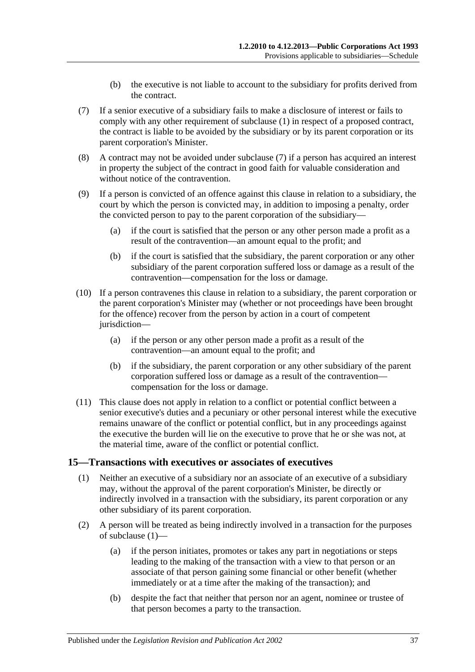- (b) the executive is not liable to account to the subsidiary for profits derived from the contract.
- <span id="page-36-1"></span>(7) If a senior executive of a subsidiary fails to make a disclosure of interest or fails to comply with any other requirement of [subclause](#page-35-4) (1) in respect of a proposed contract, the contract is liable to be avoided by the subsidiary or by its parent corporation or its parent corporation's Minister.
- (8) A contract may not be avoided under [subclause](#page-36-1) (7) if a person has acquired an interest in property the subject of the contract in good faith for valuable consideration and without notice of the contravention.
- (9) If a person is convicted of an offence against this clause in relation to a subsidiary, the court by which the person is convicted may, in addition to imposing a penalty, order the convicted person to pay to the parent corporation of the subsidiary—
	- (a) if the court is satisfied that the person or any other person made a profit as a result of the contravention—an amount equal to the profit; and
	- (b) if the court is satisfied that the subsidiary, the parent corporation or any other subsidiary of the parent corporation suffered loss or damage as a result of the contravention—compensation for the loss or damage.
- (10) If a person contravenes this clause in relation to a subsidiary, the parent corporation or the parent corporation's Minister may (whether or not proceedings have been brought for the offence) recover from the person by action in a court of competent jurisdiction—
	- (a) if the person or any other person made a profit as a result of the contravention—an amount equal to the profit; and
	- (b) if the subsidiary, the parent corporation or any other subsidiary of the parent corporation suffered loss or damage as a result of the contravention compensation for the loss or damage.
- (11) This clause does not apply in relation to a conflict or potential conflict between a senior executive's duties and a pecuniary or other personal interest while the executive remains unaware of the conflict or potential conflict, but in any proceedings against the executive the burden will lie on the executive to prove that he or she was not, at the material time, aware of the conflict or potential conflict.

#### <span id="page-36-2"></span><span id="page-36-0"></span>**15—Transactions with executives or associates of executives**

- (1) Neither an executive of a subsidiary nor an associate of an executive of a subsidiary may, without the approval of the parent corporation's Minister, be directly or indirectly involved in a transaction with the subsidiary, its parent corporation or any other subsidiary of its parent corporation.
- (2) A person will be treated as being indirectly involved in a transaction for the purposes of [subclause](#page-36-2) (1)—
	- (a) if the person initiates, promotes or takes any part in negotiations or steps leading to the making of the transaction with a view to that person or an associate of that person gaining some financial or other benefit (whether immediately or at a time after the making of the transaction); and
	- (b) despite the fact that neither that person nor an agent, nominee or trustee of that person becomes a party to the transaction.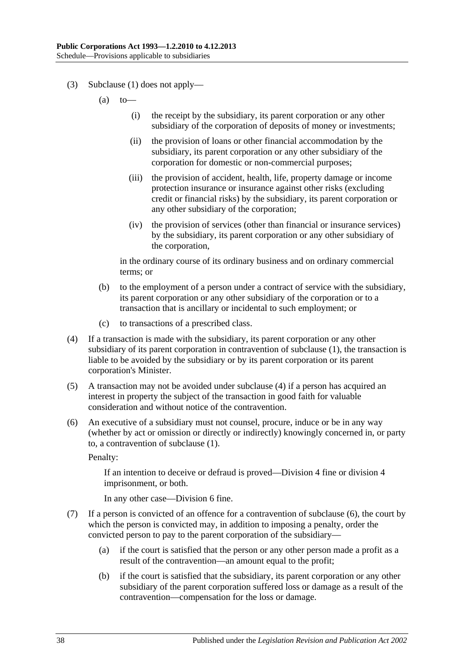- (3) [Subclause](#page-36-2) (1) does not apply—
	- $(a)$  to
		- (i) the receipt by the subsidiary, its parent corporation or any other subsidiary of the corporation of deposits of money or investments;
		- (ii) the provision of loans or other financial accommodation by the subsidiary, its parent corporation or any other subsidiary of the corporation for domestic or non-commercial purposes;
		- (iii) the provision of accident, health, life, property damage or income protection insurance or insurance against other risks (excluding credit or financial risks) by the subsidiary, its parent corporation or any other subsidiary of the corporation;
		- (iv) the provision of services (other than financial or insurance services) by the subsidiary, its parent corporation or any other subsidiary of the corporation,

in the ordinary course of its ordinary business and on ordinary commercial terms; or

- (b) to the employment of a person under a contract of service with the subsidiary, its parent corporation or any other subsidiary of the corporation or to a transaction that is ancillary or incidental to such employment; or
- (c) to transactions of a prescribed class.
- <span id="page-37-0"></span>(4) If a transaction is made with the subsidiary, its parent corporation or any other subsidiary of its parent corporation in contravention of [subclause](#page-36-2) (1), the transaction is liable to be avoided by the subsidiary or by its parent corporation or its parent corporation's Minister.
- (5) A transaction may not be avoided under [subclause](#page-37-0) (4) if a person has acquired an interest in property the subject of the transaction in good faith for valuable consideration and without notice of the contravention.
- <span id="page-37-1"></span>(6) An executive of a subsidiary must not counsel, procure, induce or be in any way (whether by act or omission or directly or indirectly) knowingly concerned in, or party to, a contravention of [subclause](#page-36-2) (1).

Penalty:

If an intention to deceive or defraud is proved—Division 4 fine or division 4 imprisonment, or both.

In any other case—Division 6 fine.

- (7) If a person is convicted of an offence for a contravention of [subclause](#page-37-1) (6), the court by which the person is convicted may, in addition to imposing a penalty, order the convicted person to pay to the parent corporation of the subsidiary—
	- (a) if the court is satisfied that the person or any other person made a profit as a result of the contravention—an amount equal to the profit;
	- (b) if the court is satisfied that the subsidiary, its parent corporation or any other subsidiary of the parent corporation suffered loss or damage as a result of the contravention—compensation for the loss or damage.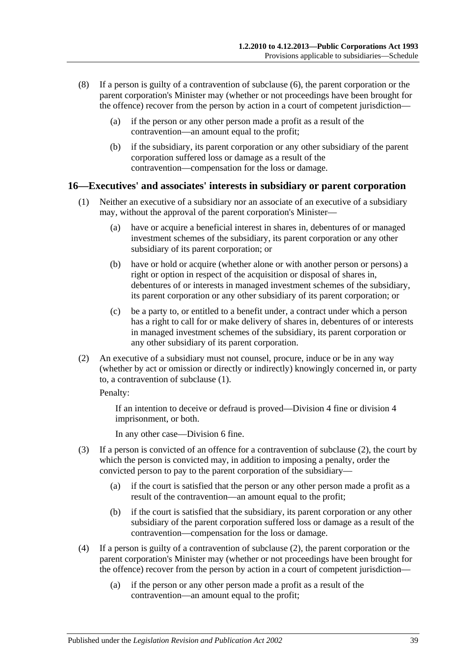- (8) If a person is guilty of a contravention of [subclause](#page-37-1) (6), the parent corporation or the parent corporation's Minister may (whether or not proceedings have been brought for the offence) recover from the person by action in a court of competent jurisdiction—
	- (a) if the person or any other person made a profit as a result of the contravention—an amount equal to the profit;
	- (b) if the subsidiary, its parent corporation or any other subsidiary of the parent corporation suffered loss or damage as a result of the contravention—compensation for the loss or damage.

#### <span id="page-38-1"></span><span id="page-38-0"></span>**16—Executives' and associates' interests in subsidiary or parent corporation**

- (1) Neither an executive of a subsidiary nor an associate of an executive of a subsidiary may, without the approval of the parent corporation's Minister—
	- (a) have or acquire a beneficial interest in shares in, debentures of or managed investment schemes of the subsidiary, its parent corporation or any other subsidiary of its parent corporation; or
	- (b) have or hold or acquire (whether alone or with another person or persons) a right or option in respect of the acquisition or disposal of shares in, debentures of or interests in managed investment schemes of the subsidiary, its parent corporation or any other subsidiary of its parent corporation; or
	- (c) be a party to, or entitled to a benefit under, a contract under which a person has a right to call for or make delivery of shares in, debentures of or interests in managed investment schemes of the subsidiary, its parent corporation or any other subsidiary of its parent corporation.
- <span id="page-38-2"></span>(2) An executive of a subsidiary must not counsel, procure, induce or be in any way (whether by act or omission or directly or indirectly) knowingly concerned in, or party to, a contravention of [subclause](#page-38-1) (1).

Penalty:

If an intention to deceive or defraud is proved—Division 4 fine or division 4 imprisonment, or both.

In any other case—Division 6 fine.

- (3) If a person is convicted of an offence for a contravention of [subclause](#page-38-2) (2), the court by which the person is convicted may, in addition to imposing a penalty, order the convicted person to pay to the parent corporation of the subsidiary—
	- (a) if the court is satisfied that the person or any other person made a profit as a result of the contravention—an amount equal to the profit;
	- (b) if the court is satisfied that the subsidiary, its parent corporation or any other subsidiary of the parent corporation suffered loss or damage as a result of the contravention—compensation for the loss or damage.
- (4) If a person is guilty of a contravention of [subclause](#page-38-2) (2), the parent corporation or the parent corporation's Minister may (whether or not proceedings have been brought for the offence) recover from the person by action in a court of competent jurisdiction—
	- (a) if the person or any other person made a profit as a result of the contravention—an amount equal to the profit;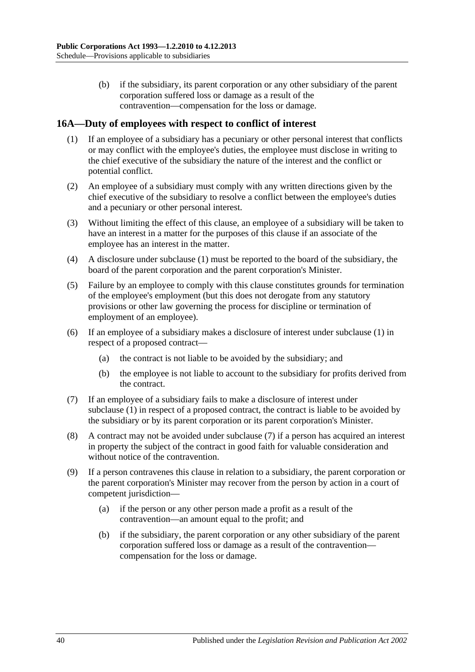(b) if the subsidiary, its parent corporation or any other subsidiary of the parent corporation suffered loss or damage as a result of the contravention—compensation for the loss or damage.

#### <span id="page-39-1"></span><span id="page-39-0"></span>**16A—Duty of employees with respect to conflict of interest**

- (1) If an employee of a subsidiary has a pecuniary or other personal interest that conflicts or may conflict with the employee's duties, the employee must disclose in writing to the chief executive of the subsidiary the nature of the interest and the conflict or potential conflict.
- (2) An employee of a subsidiary must comply with any written directions given by the chief executive of the subsidiary to resolve a conflict between the employee's duties and a pecuniary or other personal interest.
- (3) Without limiting the effect of this clause, an employee of a subsidiary will be taken to have an interest in a matter for the purposes of this clause if an associate of the employee has an interest in the matter.
- (4) A disclosure under [subclause](#page-39-1) (1) must be reported to the board of the subsidiary, the board of the parent corporation and the parent corporation's Minister.
- (5) Failure by an employee to comply with this clause constitutes grounds for termination of the employee's employment (but this does not derogate from any statutory provisions or other law governing the process for discipline or termination of employment of an employee).
- (6) If an employee of a subsidiary makes a disclosure of interest under [subclause](#page-39-1) (1) in respect of a proposed contract—
	- (a) the contract is not liable to be avoided by the subsidiary; and
	- (b) the employee is not liable to account to the subsidiary for profits derived from the contract.
- <span id="page-39-2"></span>(7) If an employee of a subsidiary fails to make a disclosure of interest under [subclause](#page-39-1) (1) in respect of a proposed contract, the contract is liable to be avoided by the subsidiary or by its parent corporation or its parent corporation's Minister.
- (8) A contract may not be avoided under [subclause](#page-39-2) (7) if a person has acquired an interest in property the subject of the contract in good faith for valuable consideration and without notice of the contravention.
- (9) If a person contravenes this clause in relation to a subsidiary, the parent corporation or the parent corporation's Minister may recover from the person by action in a court of competent jurisdiction—
	- (a) if the person or any other person made a profit as a result of the contravention—an amount equal to the profit; and
	- (b) if the subsidiary, the parent corporation or any other subsidiary of the parent corporation suffered loss or damage as a result of the contravention compensation for the loss or damage.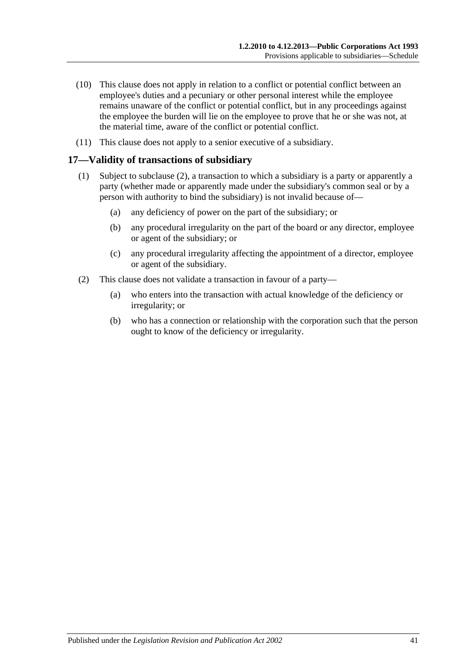- (10) This clause does not apply in relation to a conflict or potential conflict between an employee's duties and a pecuniary or other personal interest while the employee remains unaware of the conflict or potential conflict, but in any proceedings against the employee the burden will lie on the employee to prove that he or she was not, at the material time, aware of the conflict or potential conflict.
- (11) This clause does not apply to a senior executive of a subsidiary.

#### <span id="page-40-0"></span>**17—Validity of transactions of subsidiary**

- (1) Subject to [subclause](#page-40-1) (2), a transaction to which a subsidiary is a party or apparently a party (whether made or apparently made under the subsidiary's common seal or by a person with authority to bind the subsidiary) is not invalid because of—
	- (a) any deficiency of power on the part of the subsidiary; or
	- (b) any procedural irregularity on the part of the board or any director, employee or agent of the subsidiary; or
	- (c) any procedural irregularity affecting the appointment of a director, employee or agent of the subsidiary.
- <span id="page-40-1"></span>(2) This clause does not validate a transaction in favour of a party—
	- (a) who enters into the transaction with actual knowledge of the deficiency or irregularity; or
	- (b) who has a connection or relationship with the corporation such that the person ought to know of the deficiency or irregularity.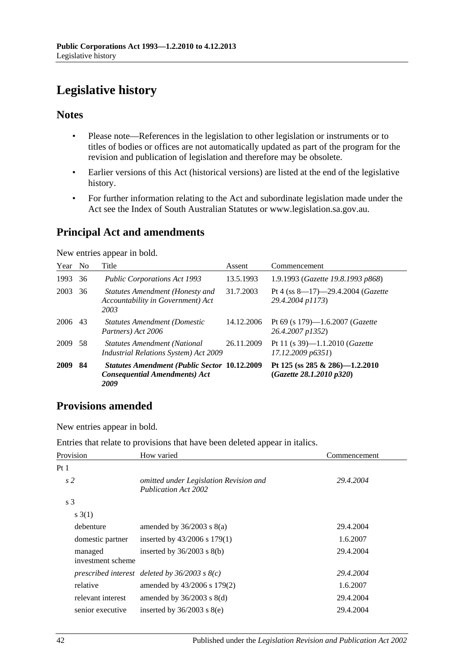# <span id="page-41-0"></span>**Legislative history**

#### **Notes**

- Please note—References in the legislation to other legislation or instruments or to titles of bodies or offices are not automatically updated as part of the program for the revision and publication of legislation and therefore may be obsolete.
- Earlier versions of this Act (historical versions) are listed at the end of the legislative history.
- For further information relating to the Act and subordinate legislation made under the Act see the Index of South Australian Statutes or www.legislation.sa.gov.au.

### **Principal Act and amendments**

New entries appear in bold.

| Year No |    | Title                                                                                               | Assent     | Commencement                                                     |
|---------|----|-----------------------------------------------------------------------------------------------------|------------|------------------------------------------------------------------|
| 1993    | 36 | <b>Public Corporations Act 1993</b>                                                                 | 13.5.1993  | 1.9.1993 (Gazette 19.8.1993 p868)                                |
| 2003    | 36 | Statutes Amendment (Honesty and<br>Accountability in Government) Act<br>2003                        | 31.7.2003  | Pt 4 (ss $8-17$ )-29.4.2004 ( <i>Gazette</i><br>29.4.2004 p1173) |
| 2006    | 43 | <b>Statutes Amendment (Domestic</b><br>Partners) Act 2006                                           | 14.12.2006 | Pt 69 (s 179)—1.6.2007 ( <i>Gazette</i><br>26.4.2007 p1352)      |
| 2009    | 58 | <b>Statutes Amendment (National</b><br><b>Industrial Relations System) Act 2009</b>                 | 26.11.2009 | Pt 11 (s 39)-1.1.2010 (Gazette<br>17.12.2009 p6351)              |
| 2009    | 84 | <b>Statutes Amendment (Public Sector 10.12.2009</b><br><b>Consequential Amendments) Act</b><br>2009 |            | Pt 125 (ss 285 & 286)-1.2.2010<br>(Gazette 28.1.2010 p320)       |

### **Provisions amended**

New entries appear in bold.

Entries that relate to provisions that have been deleted appear in italics.

| Provision                    | How varied                                                            | Commencement |
|------------------------------|-----------------------------------------------------------------------|--------------|
| Pt 1                         |                                                                       |              |
| s <sub>2</sub>               | omitted under Legislation Revision and<br><b>Publication Act 2002</b> | 29.4.2004    |
| s <sub>3</sub>               |                                                                       |              |
| s(3(1))                      |                                                                       |              |
| debenture                    | amended by $36/2003$ s $8(a)$                                         | 29.4.2004    |
| domestic partner             | inserted by $43/2006$ s $179(1)$                                      | 1.6.2007     |
| managed<br>investment scheme | inserted by $36/2003$ s $8(b)$                                        | 29.4.2004    |
|                              | prescribed interest deleted by $36/2003$ s $8(c)$                     | 29.4.2004    |
| relative                     | amended by 43/2006 s 179(2)                                           | 1.6.2007     |
| relevant interest            | amended by $36/2003$ s $8(d)$                                         | 29.4.2004    |
| senior executive             | inserted by $36/2003$ s $8(e)$                                        | 29.4.2004    |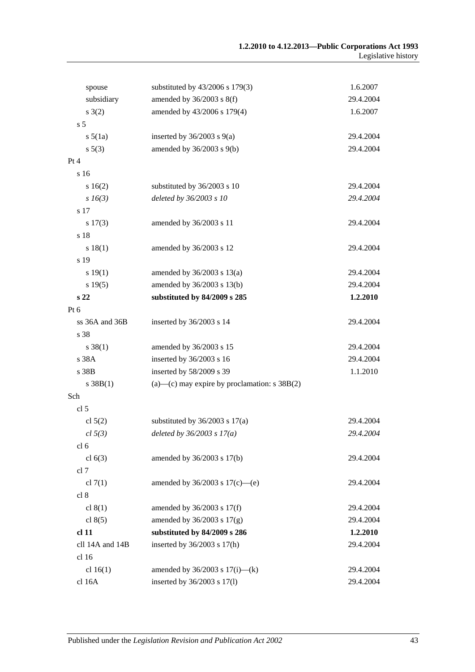| spouse           | substituted by 43/2006 s 179(3)                       | 1.6.2007  |
|------------------|-------------------------------------------------------|-----------|
| subsidiary       | amended by $36/2003$ s $8(f)$                         | 29.4.2004 |
| s(2)             | amended by 43/2006 s 179(4)                           | 1.6.2007  |
| s <sub>5</sub>   |                                                       |           |
| $s\,5(1a)$       | inserted by $36/2003$ s $9(a)$                        | 29.4.2004 |
| $s\,5(3)$        | amended by 36/2003 s 9(b)                             | 29.4.2004 |
| Pt 4             |                                                       |           |
| s 16             |                                                       |           |
| 16(2)            | substituted by 36/2003 s 10                           | 29.4.2004 |
| $s\,16(3)$       | deleted by 36/2003 s 10                               | 29.4.2004 |
| s 17             |                                                       |           |
| $s\ 17(3)$       | amended by 36/2003 s 11                               | 29.4.2004 |
| s 18             |                                                       |           |
| s 18(1)          | amended by 36/2003 s 12                               | 29.4.2004 |
| s 19             |                                                       |           |
| s 19(1)          | amended by $36/2003$ s $13(a)$                        | 29.4.2004 |
| s 19(5)          | amended by 36/2003 s 13(b)                            | 29.4.2004 |
| s <sub>22</sub>  | substituted by 84/2009 s 285                          | 1.2.2010  |
| Pt 6             |                                                       |           |
| ss 36A and 36B   | inserted by 36/2003 s 14                              | 29.4.2004 |
| s 38             |                                                       |           |
| $s \, 38(1)$     | amended by 36/2003 s 15                               | 29.4.2004 |
| s 38A            | inserted by 36/2003 s 16                              | 29.4.2004 |
| s 38B            | inserted by 58/2009 s 39                              | 1.1.2010  |
| s 38B(1)         | $(a)$ — $(c)$ may expire by proclamation: s 38B $(2)$ |           |
| Sch              |                                                       |           |
| cl 5             |                                                       |           |
| cl $5(2)$        | substituted by $36/2003$ s $17(a)$                    | 29.4.2004 |
| cl 5(3)          | deleted by $36/2003 s 17(a)$                          | 29.4.2004 |
| cl <sub>6</sub>  |                                                       |           |
| cl $6(3)$        | amended by 36/2003 s 17(b)                            | 29.4.2004 |
| cl 7             |                                                       |           |
| cl $7(1)$        | amended by $36/2003$ s $17(c)$ —(e)                   | 29.4.2004 |
| cl 8             |                                                       |           |
| cl $8(1)$        | amended by $36/2003$ s $17(f)$                        | 29.4.2004 |
| cl $8(5)$        | amended by $36/2003$ s $17(g)$                        | 29.4.2004 |
| cl <sub>11</sub> | substituted by 84/2009 s 286                          | 1.2.2010  |
| cll 14A and 14B  | inserted by 36/2003 s 17(h)                           | 29.4.2004 |
| cl 16            |                                                       |           |
| cl $16(1)$       | amended by $36/2003$ s $17(i)$ —(k)                   | 29.4.2004 |
| cl 16A           | inserted by 36/2003 s 17(l)                           | 29.4.2004 |